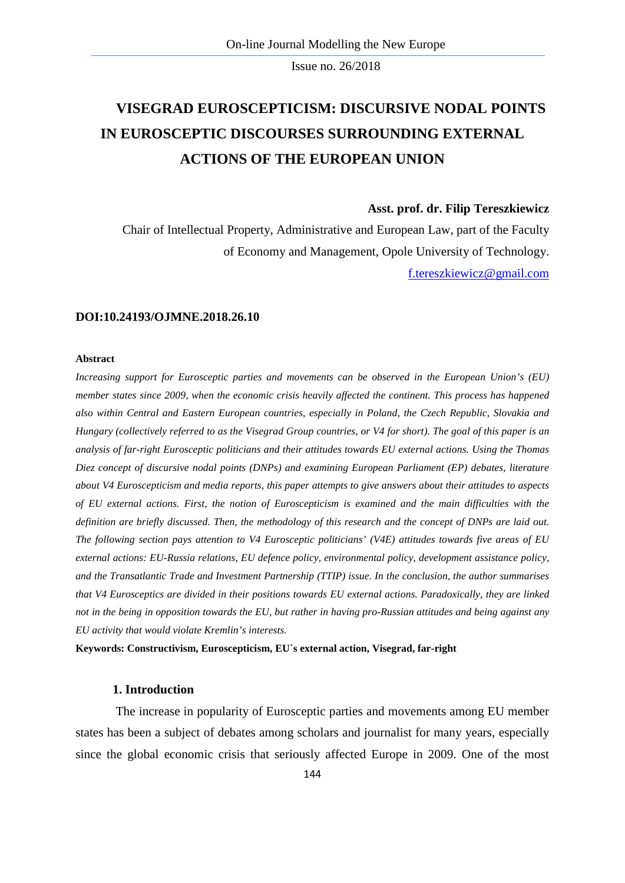# **VISEGRAD EUROSCEPTICISM: DISCURSIVE NODAL POINTS IN EUROSCEPTIC DISCOURSES SURROUNDING EXTERNAL ACTIONS OF THE EUROPEAN UNION**

## **Asst. prof. dr. Filip Tereszkiewicz**

Chair of Intellectual Property, Administrative and European Law, part of the Faculty of Economy and Management, Opole University of Technology. [f.tereszkiewicz@gmail.com](mailto:f.tereszkiewicz@gmail.com)

#### **DOI:10.24193/OJMNE.2018.26.10**

#### **Abstract**

*Increasing support for Eurosceptic parties and movements can be observed in the European Union's (EU) member states since 2009, when the economic crisis heavily affected the continent. This process has happened also within Central and Eastern European countries, especially in Poland, the Czech Republic, Slovakia and Hungary (collectively referred to as the Visegrad Group countries, or V4 for short). The goal of this paper is an analysis of far-right Eurosceptic politicians and their attitudes towards EU external actions. Using the Thomas Diez concept of discursive nodal points (DNPs) and examining European Parliament (EP) debates, literature about V4 Euroscepticism and media reports, this paper attempts to give answers about their attitudes to aspects of EU external actions. First, the notion of Euroscepticism is examined and the main difficulties with the definition are briefly discussed. Then, the methodology of this research and the concept of DNPs are laid out. The following section pays attention to V4 Eurosceptic politicians' (V4E) attitudes towards five areas of EU external actions: EU-Russia relations, EU defence policy, environmental policy, development assistance policy, and the Transatlantic Trade and Investment Partnership (TTIP) issue. In the conclusion, the author summarises that V4 Eurosceptics are divided in their positions towards EU external actions. Paradoxically, they are linked not in the being in opposition towards the EU, but rather in having pro-Russian attitudes and being against any EU activity that would violate Kremlin's interests.*

**Keywords: Constructivism, Euroscepticism, EU`s external action, Visegrad, far-right**

#### **1. Introduction**

The increase in popularity of Eurosceptic parties and movements among EU member states has been a subject of debates among scholars and journalist for many years, especially since the global economic crisis that seriously affected Europe in 2009. One of the most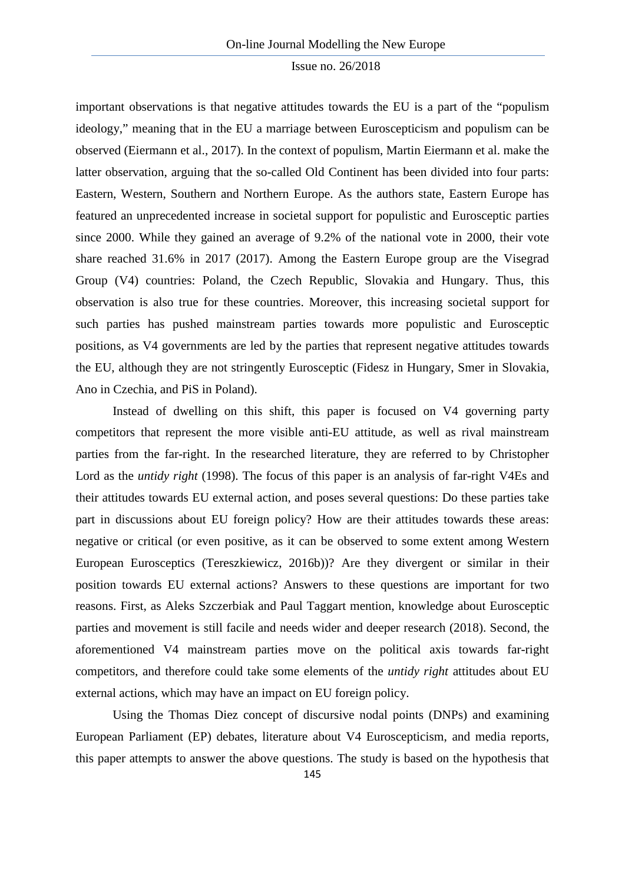important observations is that negative attitudes towards the EU is a part of the "populism ideology," meaning that in the EU a marriage between Euroscepticism and populism can be observed (Eiermann et al., 2017). In the context of populism, Martin Eiermann et al. make the latter observation, arguing that the so-called Old Continent has been divided into four parts: Eastern, Western, Southern and Northern Europe. As the authors state, Eastern Europe has featured an unprecedented increase in societal support for populistic and Eurosceptic parties since 2000. While they gained an average of 9.2% of the national vote in 2000, their vote share reached 31.6% in 2017 (2017). Among the Eastern Europe group are the Visegrad Group (V4) countries: Poland, the Czech Republic, Slovakia and Hungary. Thus, this observation is also true for these countries. Moreover, this increasing societal support for such parties has pushed mainstream parties towards more populistic and Eurosceptic positions, as V4 governments are led by the parties that represent negative attitudes towards the EU, although they are not stringently Eurosceptic (Fidesz in Hungary, Smer in Slovakia, Ano in Czechia, and PiS in Poland).

Instead of dwelling on this shift, this paper is focused on V4 governing party competitors that represent the more visible anti-EU attitude, as well as rival mainstream parties from the far-right. In the researched literature, they are referred to by Christopher Lord as the *untidy right* (1998). The focus of this paper is an analysis of far-right V4Es and their attitudes towards EU external action, and poses several questions: Do these parties take part in discussions about EU foreign policy? How are their attitudes towards these areas: negative or critical (or even positive, as it can be observed to some extent among Western European Eurosceptics (Tereszkiewicz, 2016b))? Are they divergent or similar in their position towards EU external actions? Answers to these questions are important for two reasons. First, as Aleks Szczerbiak and Paul Taggart mention, knowledge about Eurosceptic parties and movement is still facile and needs wider and deeper research (2018). Second, the aforementioned V4 mainstream parties move on the political axis towards far-right competitors, and therefore could take some elements of the *untidy right* attitudes about EU external actions, which may have an impact on EU foreign policy.

Using the Thomas Diez concept of discursive nodal points (DNPs) and examining European Parliament (EP) debates, literature about V4 Euroscepticism, and media reports, this paper attempts to answer the above questions. The study is based on the hypothesis that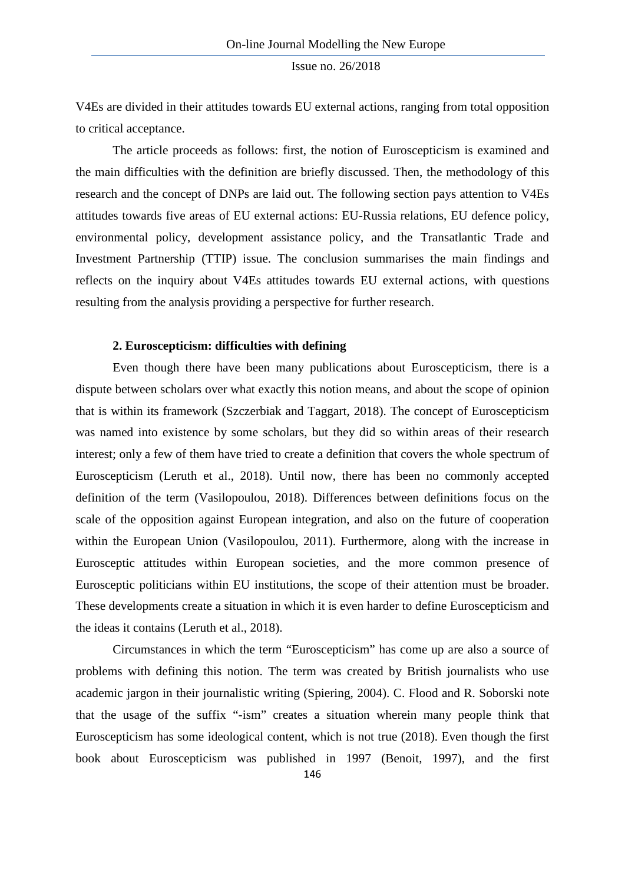V4Es are divided in their attitudes towards EU external actions, ranging from total opposition to critical acceptance.

The article proceeds as follows: first, the notion of Euroscepticism is examined and the main difficulties with the definition are briefly discussed. Then, the methodology of this research and the concept of DNPs are laid out. The following section pays attention to V4Es attitudes towards five areas of EU external actions: EU-Russia relations, EU defence policy, environmental policy, development assistance policy, and the Transatlantic Trade and Investment Partnership (TTIP) issue. The conclusion summarises the main findings and reflects on the inquiry about V4Es attitudes towards EU external actions, with questions resulting from the analysis providing a perspective for further research.

### **2. Euroscepticism: difficulties with defining**

Even though there have been many publications about Euroscepticism, there is a dispute between scholars over what exactly this notion means, and about the scope of opinion that is within its framework (Szczerbiak and Taggart, 2018). The concept of Euroscepticism was named into existence by some scholars, but they did so within areas of their research interest; only a few of them have tried to create a definition that covers the whole spectrum of Euroscepticism (Leruth et al., 2018). Until now, there has been no commonly accepted definition of the term (Vasilopoulou, 2018). Differences between definitions focus on the scale of the opposition against European integration, and also on the future of cooperation within the European Union (Vasilopoulou, 2011). Furthermore, along with the increase in Eurosceptic attitudes within European societies, and the more common presence of Eurosceptic politicians within EU institutions, the scope of their attention must be broader. These developments create a situation in which it is even harder to define Euroscepticism and the ideas it contains (Leruth et al., 2018).

Circumstances in which the term "Euroscepticism" has come up are also a source of problems with defining this notion. The term was created by British journalists who use academic jargon in their journalistic writing (Spiering, 2004). C. Flood and R. Soborski note that the usage of the suffix "-ism" creates a situation wherein many people think that Euroscepticism has some ideological content, which is not true (2018). Even though the first book about Euroscepticism was published in 1997 (Benoit, 1997), and the first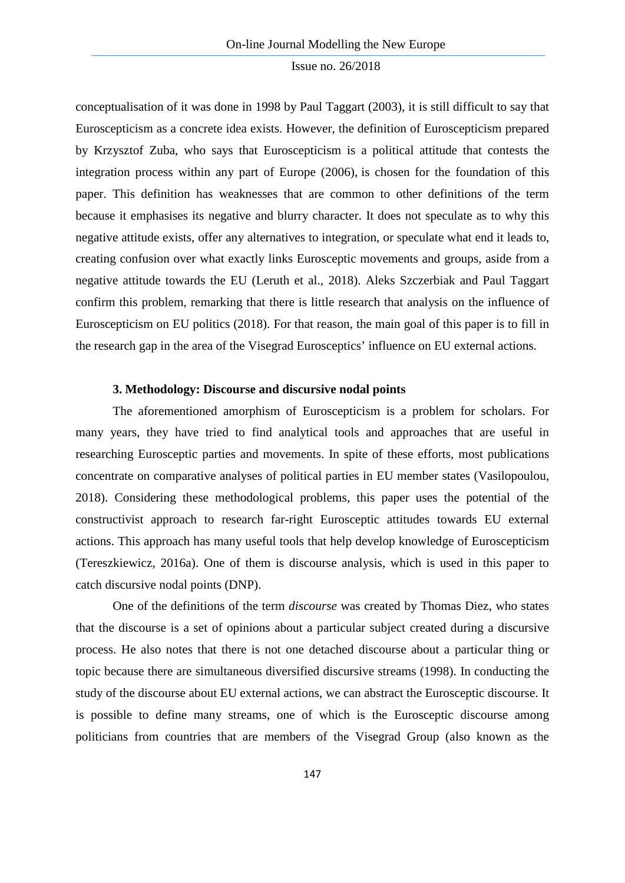conceptualisation of it was done in 1998 by Paul Taggart (2003), it is still difficult to say that Euroscepticism as a concrete idea exists. However, the definition of Euroscepticism prepared by Krzysztof Zuba, who says that Euroscepticism is a political attitude that contests the integration process within any part of Europe (2006), is chosen for the foundation of this paper. This definition has weaknesses that are common to other definitions of the term because it emphasises its negative and blurry character. It does not speculate as to why this negative attitude exists, offer any alternatives to integration, or speculate what end it leads to, creating confusion over what exactly links Eurosceptic movements and groups, aside from a negative attitude towards the EU (Leruth et al., 2018). Aleks Szczerbiak and Paul Taggart confirm this problem, remarking that there is little research that analysis on the influence of Euroscepticism on EU politics (2018). For that reason, the main goal of this paper is to fill in the research gap in the area of the Visegrad Eurosceptics' influence on EU external actions.

# **3. Methodology: Discourse and discursive nodal points**

The aforementioned amorphism of Euroscepticism is a problem for scholars. For many years, they have tried to find analytical tools and approaches that are useful in researching Eurosceptic parties and movements. In spite of these efforts, most publications concentrate on comparative analyses of political parties in EU member states (Vasilopoulou, 2018). Considering these methodological problems, this paper uses the potential of the constructivist approach to research far-right Eurosceptic attitudes towards EU external actions. This approach has many useful tools that help develop knowledge of Euroscepticism (Tereszkiewicz, 2016a). One of them is discourse analysis, which is used in this paper to catch discursive nodal points (DNP).

One of the definitions of the term *discourse* was created by Thomas Diez, who states that the discourse is a set of opinions about a particular subject created during a discursive process. He also notes that there is not one detached discourse about a particular thing or topic because there are simultaneous diversified discursive streams (1998). In conducting the study of the discourse about EU external actions, we can abstract the Eurosceptic discourse. It is possible to define many streams, one of which is the Eurosceptic discourse among politicians from countries that are members of the Visegrad Group (also known as the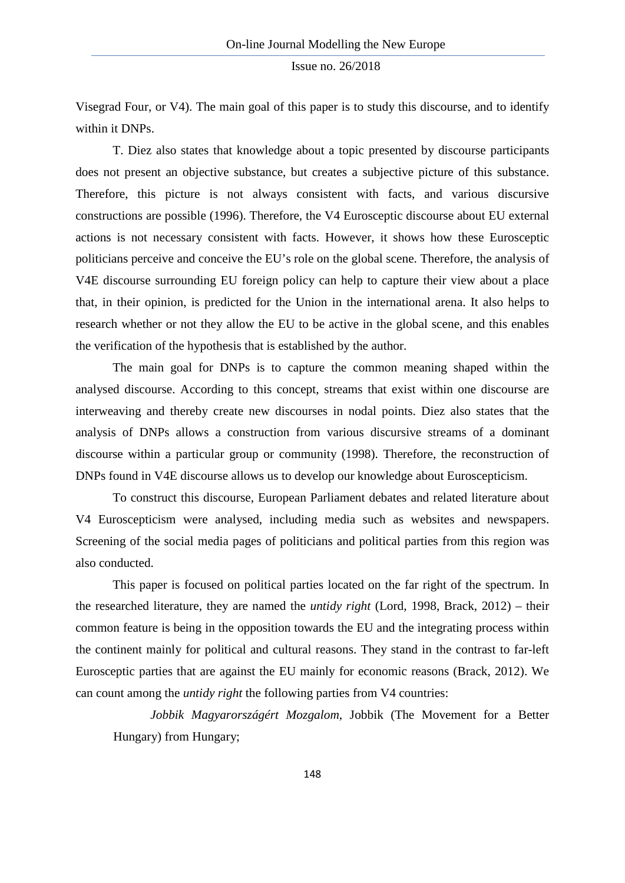Visegrad Four, or V4). The main goal of this paper is to study this discourse, and to identify within it DNPs.

T. Diez also states that knowledge about a topic presented by discourse participants does not present an objective substance, but creates a subjective picture of this substance. Therefore, this picture is not always consistent with facts, and various discursive constructions are possible (1996). Therefore, the V4 Eurosceptic discourse about EU external actions is not necessary consistent with facts. However, it shows how these Eurosceptic politicians perceive and conceive the EU's role on the global scene. Therefore, the analysis of V4E discourse surrounding EU foreign policy can help to capture their view about a place that, in their opinion, is predicted for the Union in the international arena. It also helps to research whether or not they allow the EU to be active in the global scene, and this enables the verification of the hypothesis that is established by the author.

The main goal for DNPs is to capture the common meaning shaped within the analysed discourse. According to this concept, streams that exist within one discourse are interweaving and thereby create new discourses in nodal points. Diez also states that the analysis of DNPs allows a construction from various discursive streams of a dominant discourse within a particular group or community (1998). Therefore, the reconstruction of DNPs found in V4E discourse allows us to develop our knowledge about Euroscepticism.

To construct this discourse, European Parliament debates and related literature about V4 Euroscepticism were analysed, including media such as websites and newspapers. Screening of the social media pages of politicians and political parties from this region was also conducted.

This paper is focused on political parties located on the far right of the spectrum. In the researched literature, they are named the *untidy right* (Lord, 1998, Brack, 2012) – their common feature is being in the opposition towards the EU and the integrating process within the continent mainly for political and cultural reasons. They stand in the contrast to far-left Eurosceptic parties that are against the EU mainly for economic reasons (Brack, 2012). We can count among the *untidy right* the following parties from V4 countries:

*Jobbik Magyarországért Mozgalom*, Jobbik (The Movement for a Better Hungary) from Hungary;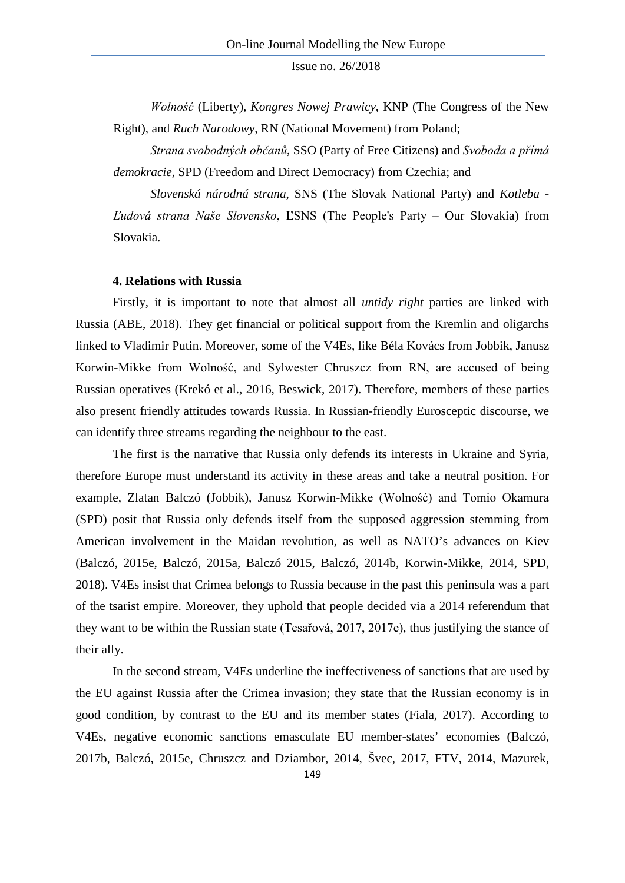*Wolność* (Liberty), *Kongres Nowej Prawicy*, KNP (The Congress of the New Right), and *Ruch Narodowy*, RN (National Movement) from Poland;

*Strana svobodných občanů*, SSO (Party of Free Citizens) and *Svoboda a přímá demokracie*, SPD (Freedom and Direct Democracy) from Czechia; and

*Slovenská národná strana*, SNS (The Slovak National Party) and *Kotleba - Ľudová strana Naše Slovensko*, ĽSNS (The People's Party – Our Slovakia) from Slovakia.

### **4. Relations with Russia**

Firstly, it is important to note that almost all *untidy right* parties are linked with Russia (ABE, 2018). They get financial or political support from the Kremlin and oligarchs linked to Vladimir Putin. Moreover, some of the V4Es, like Béla Kovács from Jobbik, Janusz Korwin-Mikke from Wolność, and Sylwester Chruszcz from RN, are accused of being Russian operatives (Krekó et al., 2016, Beswick, 2017). Therefore, members of these parties also present friendly attitudes towards Russia. In Russian-friendly Eurosceptic discourse, we can identify three streams regarding the neighbour to the east.

The first is the narrative that Russia only defends its interests in Ukraine and Syria, therefore Europe must understand its activity in these areas and take a neutral position. For example, Zlatan Balczó (Jobbik), Janusz Korwin-Mikke (Wolność) and Tomio Okamura (SPD) posit that Russia only defends itself from the supposed aggression stemming from American involvement in the Maidan revolution, as well as NATO's advances on Kiev (Balczó, 2015e, Balczó, 2015a, Balczó 2015, Balczó, 2014b, Korwin-Mikke, 2014, SPD, 2018). V4Es insist that Crimea belongs to Russia because in the past this peninsula was a part of the tsarist empire. Moreover, they uphold that people decided via a 2014 referendum that they want to be within the Russian state (Tesařová, 2017, 2017e), thus justifying the stance of their ally.

In the second stream, V4Es underline the ineffectiveness of sanctions that are used by the EU against Russia after the Crimea invasion; they state that the Russian economy is in good condition, by contrast to the EU and its member states (Fiala, 2017). According to V4Es, negative economic sanctions emasculate EU member-states' economies (Balczó, 2017b, Balczó, 2015e, Chruszcz and Dziambor, 2014, Švec, 2017, FTV, 2014, Mazurek,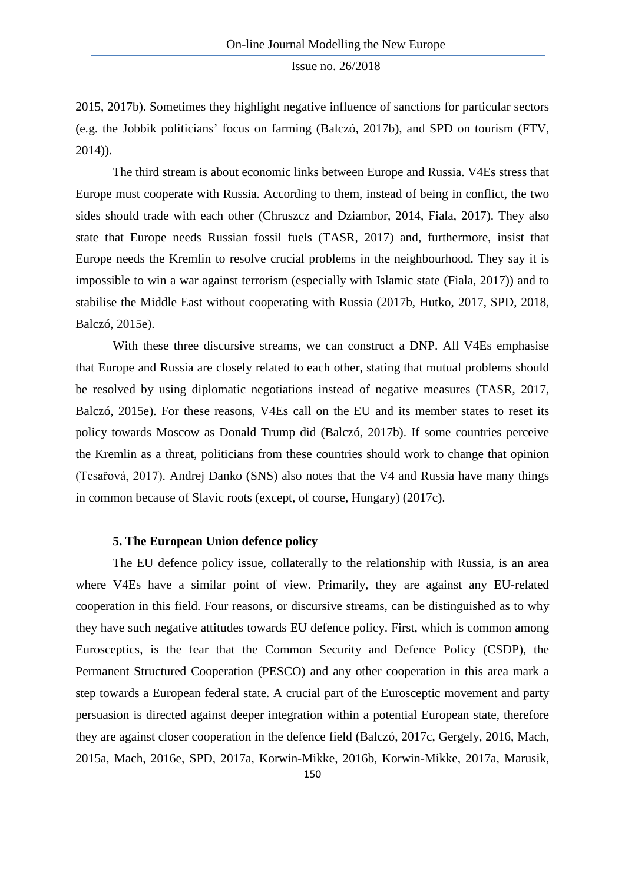2015, 2017b). Sometimes they highlight negative influence of sanctions for particular sectors (e.g. the Jobbik politicians' focus on farming (Balczó, 2017b), and SPD on tourism (FTV, 2014)).

The third stream is about economic links between Europe and Russia. V4Es stress that Europe must cooperate with Russia. According to them, instead of being in conflict, the two sides should trade with each other (Chruszcz and Dziambor, 2014, Fiala, 2017). They also state that Europe needs Russian fossil fuels (TASR, 2017) and, furthermore, insist that Europe needs the Kremlin to resolve crucial problems in the neighbourhood. They say it is impossible to win a war against terrorism (especially with Islamic state (Fiala, 2017)) and to stabilise the Middle East without cooperating with Russia (2017b, Hutko, 2017, SPD, 2018, Balczó, 2015e).

With these three discursive streams, we can construct a DNP. All V4Es emphasise that Europe and Russia are closely related to each other, stating that mutual problems should be resolved by using diplomatic negotiations instead of negative measures (TASR, 2017, Balczó, 2015e). For these reasons, V4Es call on the EU and its member states to reset its policy towards Moscow as Donald Trump did (Balczó, 2017b). If some countries perceive the Kremlin as a threat, politicians from these countries should work to change that opinion (Tesařová, 2017). Andrej Danko (SNS) also notes that the V4 and Russia have many things in common because of Slavic roots (except, of course, Hungary) (2017c).

### **5. The European Union defence policy**

The EU defence policy issue, collaterally to the relationship with Russia, is an area where V4Es have a similar point of view. Primarily, they are against any EU-related cooperation in this field. Four reasons, or discursive streams, can be distinguished as to why they have such negative attitudes towards EU defence policy. First, which is common among Eurosceptics, is the fear that the Common Security and Defence Policy (CSDP), the Permanent Structured Cooperation (PESCO) and any other cooperation in this area mark a step towards a European federal state. A crucial part of the Eurosceptic movement and party persuasion is directed against deeper integration within a potential European state, therefore they are against closer cooperation in the defence field (Balczó, 2017c, Gergely, 2016, Mach, 2015a, Mach, 2016e, SPD, 2017a, Korwin-Mikke, 2016b, Korwin-Mikke, 2017a, Marusik,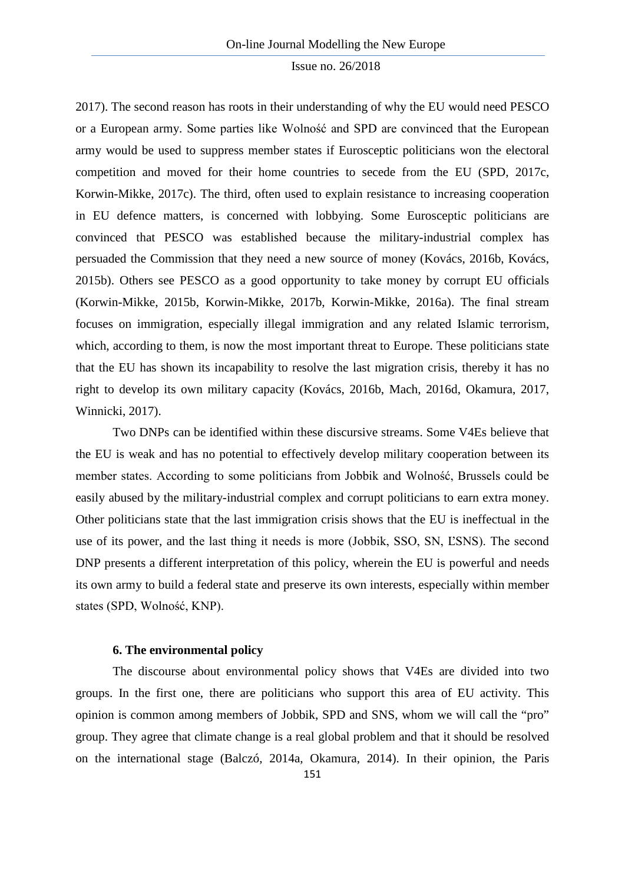2017). The second reason has roots in their understanding of why the EU would need PESCO or a European army. Some parties like Wolność and SPD are convinced that the European army would be used to suppress member states if Eurosceptic politicians won the electoral competition and moved for their home countries to secede from the EU (SPD, 2017c, Korwin-Mikke, 2017c). The third, often used to explain resistance to increasing cooperation in EU defence matters, is concerned with lobbying. Some Eurosceptic politicians are convinced that PESCO was established because the military-industrial complex has persuaded the Commission that they need a new source of money (Kovács, 2016b, Kovács, 2015b). Others see PESCO as a good opportunity to take money by corrupt EU officials (Korwin-Mikke, 2015b, Korwin-Mikke, 2017b, Korwin-Mikke, 2016a). The final stream focuses on immigration, especially illegal immigration and any related Islamic terrorism, which, according to them, is now the most important threat to Europe. These politicians state that the EU has shown its incapability to resolve the last migration crisis, thereby it has no right to develop its own military capacity (Kovács, 2016b, Mach, 2016d, Okamura, 2017, Winnicki, 2017).

Two DNPs can be identified within these discursive streams. Some V4Es believe that the EU is weak and has no potential to effectively develop military cooperation between its member states. According to some politicians from Jobbik and Wolność, Brussels could be easily abused by the military-industrial complex and corrupt politicians to earn extra money. Other politicians state that the last immigration crisis shows that the EU is ineffectual in the use of its power, and the last thing it needs is more (Jobbik, SSO, SN, ĽSNS). The second DNP presents a different interpretation of this policy, wherein the EU is powerful and needs its own army to build a federal state and preserve its own interests, especially within member states (SPD, Wolność, KNP).

#### **6. The environmental policy**

The discourse about environmental policy shows that V4Es are divided into two groups. In the first one, there are politicians who support this area of EU activity. This opinion is common among members of Jobbik, SPD and SNS, whom we will call the "pro" group. They agree that climate change is a real global problem and that it should be resolved on the international stage (Balczó, 2014a, Okamura, 2014). In their opinion, the Paris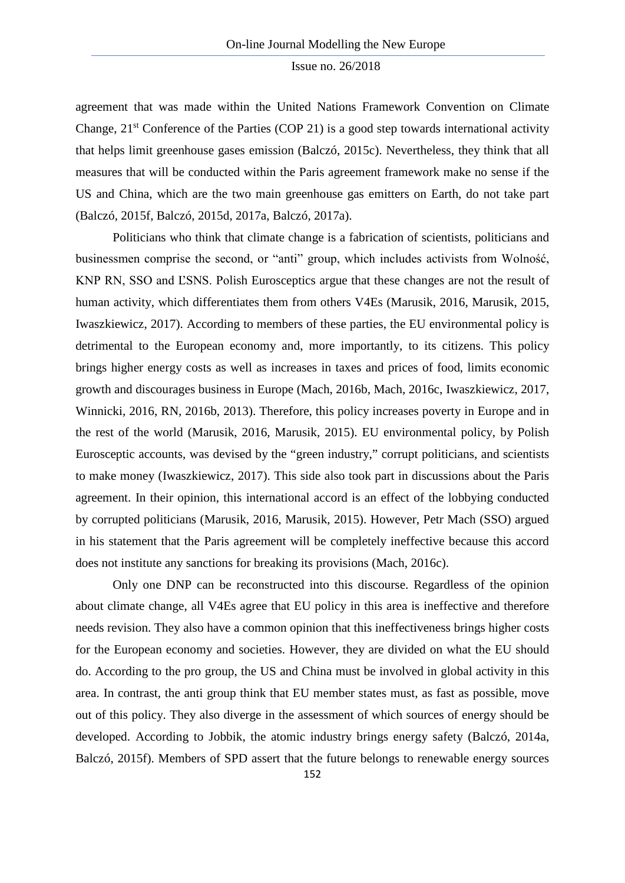agreement that was made within the United Nations Framework Convention on Climate Change,  $21<sup>st</sup>$  Conference of the Parties (COP 21) is a good step towards international activity that helps limit greenhouse gases emission (Balczó, 2015c). Nevertheless, they think that all measures that will be conducted within the Paris agreement framework make no sense if the US and China, which are the two main greenhouse gas emitters on Earth, do not take part (Balczó, 2015f, Balczó, 2015d, 2017a, Balczó, 2017a).

Politicians who think that climate change is a fabrication of scientists, politicians and businessmen comprise the second, or "anti" group, which includes activists from Wolność, KNP RN, SSO and ĽSNS. Polish Eurosceptics argue that these changes are not the result of human activity, which differentiates them from others V4Es (Marusik, 2016, Marusik, 2015, Iwaszkiewicz, 2017). According to members of these parties, the EU environmental policy is detrimental to the European economy and, more importantly, to its citizens. This policy brings higher energy costs as well as increases in taxes and prices of food, limits economic growth and discourages business in Europe (Mach, 2016b, Mach, 2016c, Iwaszkiewicz, 2017, Winnicki, 2016, RN, 2016b, 2013). Therefore, this policy increases poverty in Europe and in the rest of the world (Marusik, 2016, Marusik, 2015). EU environmental policy, by Polish Eurosceptic accounts, was devised by the "green industry," corrupt politicians, and scientists to make money (Iwaszkiewicz, 2017). This side also took part in discussions about the Paris agreement. In their opinion, this international accord is an effect of the lobbying conducted by corrupted politicians (Marusik, 2016, Marusik, 2015). However, Petr Mach (SSO) argued in his statement that the Paris agreement will be completely ineffective because this accord does not institute any sanctions for breaking its provisions (Mach, 2016c).

Only one DNP can be reconstructed into this discourse. Regardless of the opinion about climate change, all V4Es agree that EU policy in this area is ineffective and therefore needs revision. They also have a common opinion that this ineffectiveness brings higher costs for the European economy and societies. However, they are divided on what the EU should do. According to the pro group, the US and China must be involved in global activity in this area. In contrast, the anti group think that EU member states must, as fast as possible, move out of this policy. They also diverge in the assessment of which sources of energy should be developed. According to Jobbik, the atomic industry brings energy safety (Balczó, 2014a, Balczó, 2015f). Members of SPD assert that the future belongs to renewable energy sources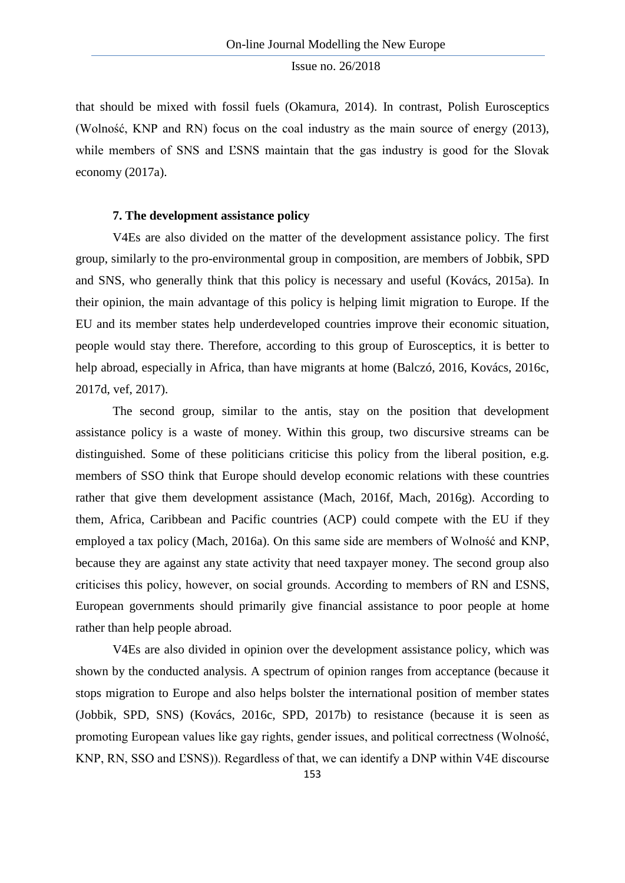that should be mixed with fossil fuels (Okamura, 2014). In contrast, Polish Eurosceptics (Wolność, KNP and RN) focus on the coal industry as the main source of energy (2013), while members of SNS and LSNS maintain that the gas industry is good for the Slovak economy (2017a).

# **7. The development assistance policy**

V4Es are also divided on the matter of the development assistance policy. The first group, similarly to the pro-environmental group in composition, are members of Jobbik, SPD and SNS, who generally think that this policy is necessary and useful (Kovács, 2015a). In their opinion, the main advantage of this policy is helping limit migration to Europe. If the EU and its member states help underdeveloped countries improve their economic situation, people would stay there. Therefore, according to this group of Eurosceptics, it is better to help abroad, especially in Africa, than have migrants at home (Balczó, 2016, Kovács, 2016c, 2017d, vef, 2017).

The second group, similar to the antis, stay on the position that development assistance policy is a waste of money. Within this group, two discursive streams can be distinguished. Some of these politicians criticise this policy from the liberal position, e.g. members of SSO think that Europe should develop economic relations with these countries rather that give them development assistance (Mach, 2016f, Mach, 2016g). According to them, Africa, Caribbean and Pacific countries (ACP) could compete with the EU if they employed a tax policy (Mach, 2016a). On this same side are members of Wolność and KNP, because they are against any state activity that need taxpayer money. The second group also criticises this policy, however, on social grounds. According to members of RN and ĽSNS, European governments should primarily give financial assistance to poor people at home rather than help people abroad.

V4Es are also divided in opinion over the development assistance policy, which was shown by the conducted analysis. A spectrum of opinion ranges from acceptance (because it stops migration to Europe and also helps bolster the international position of member states (Jobbik, SPD, SNS) (Kovács, 2016c, SPD, 2017b) to resistance (because it is seen as promoting European values like gay rights, gender issues, and political correctness (Wolność, KNP, RN, SSO and ĽSNS)). Regardless of that, we can identify a DNP within V4E discourse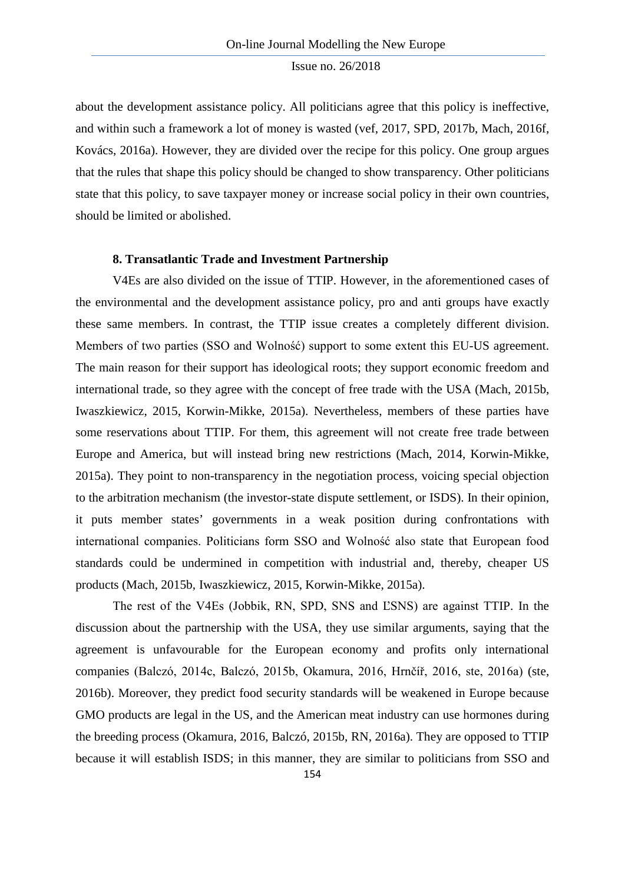about the development assistance policy. All politicians agree that this policy is ineffective, and within such a framework a lot of money is wasted (vef, 2017, SPD, 2017b, Mach, 2016f, Kovács, 2016a). However, they are divided over the recipe for this policy. One group argues that the rules that shape this policy should be changed to show transparency. Other politicians state that this policy, to save taxpayer money or increase social policy in their own countries, should be limited or abolished.

#### **8. Transatlantic Trade and Investment Partnership**

V4Es are also divided on the issue of TTIP. However, in the aforementioned cases of the environmental and the development assistance policy, pro and anti groups have exactly these same members. In contrast, the TTIP issue creates a completely different division. Members of two parties (SSO and Wolność) support to some extent this EU-US agreement. The main reason for their support has ideological roots; they support economic freedom and international trade, so they agree with the concept of free trade with the USA (Mach, 2015b, Iwaszkiewicz, 2015, Korwin-Mikke, 2015a). Nevertheless, members of these parties have some reservations about TTIP. For them, this agreement will not create free trade between Europe and America, but will instead bring new restrictions (Mach, 2014, Korwin-Mikke, 2015a). They point to non-transparency in the negotiation process, voicing special objection to the arbitration mechanism (the investor-state dispute settlement, or ISDS). In their opinion, it puts member states' governments in a weak position during confrontations with international companies. Politicians form SSO and Wolność also state that European food standards could be undermined in competition with industrial and, thereby, cheaper US products (Mach, 2015b, Iwaszkiewicz, 2015, Korwin-Mikke, 2015a).

The rest of the V4Es (Jobbik, RN, SPD, SNS and ĽSNS) are against TTIP. In the discussion about the partnership with the USA, they use similar arguments, saying that the agreement is unfavourable for the European economy and profits only international companies (Balczó, 2014c, Balczó, 2015b, Okamura, 2016, Hrnčíř, 2016, ste, 2016a) (ste, 2016b). Moreover, they predict food security standards will be weakened in Europe because GMO products are legal in the US, and the American meat industry can use hormones during the breeding process (Okamura, 2016, Balczó, 2015b, RN, 2016a). They are opposed to TTIP because it will establish ISDS; in this manner, they are similar to politicians from SSO and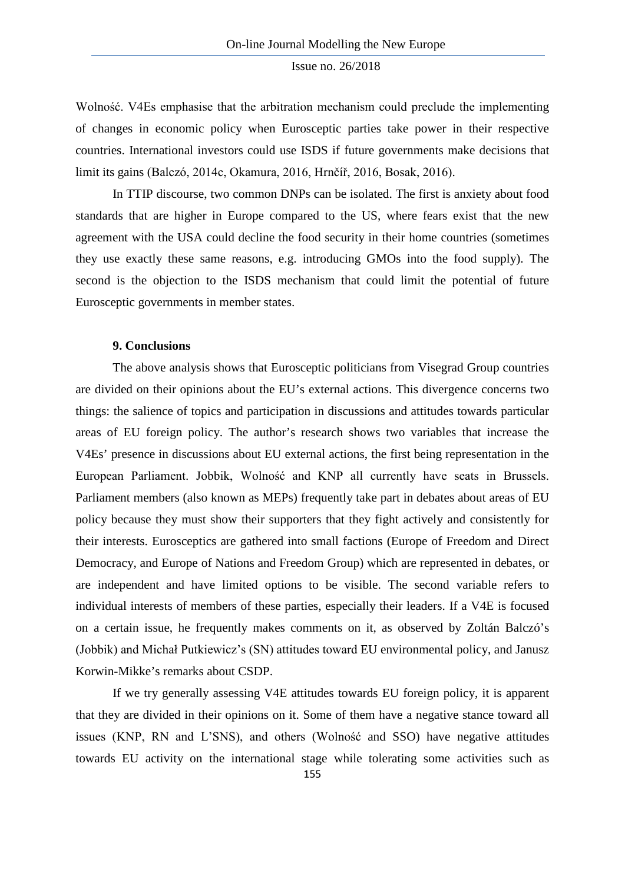Wolność. V4Es emphasise that the arbitration mechanism could preclude the implementing of changes in economic policy when Eurosceptic parties take power in their respective countries. International investors could use ISDS if future governments make decisions that limit its gains (Balczó, 2014c, Okamura, 2016, Hrnčíř, 2016, Bosak, 2016).

In TTIP discourse, two common DNPs can be isolated. The first is anxiety about food standards that are higher in Europe compared to the US, where fears exist that the new agreement with the USA could decline the food security in their home countries (sometimes they use exactly these same reasons, e.g. introducing GMOs into the food supply). The second is the objection to the ISDS mechanism that could limit the potential of future Eurosceptic governments in member states.

#### **9. Conclusions**

The above analysis shows that Eurosceptic politicians from Visegrad Group countries are divided on their opinions about the EU's external actions. This divergence concerns two things: the salience of topics and participation in discussions and attitudes towards particular areas of EU foreign policy. The author's research shows two variables that increase the V4Es' presence in discussions about EU external actions, the first being representation in the European Parliament. Jobbik, Wolność and KNP all currently have seats in Brussels. Parliament members (also known as MEPs) frequently take part in debates about areas of EU policy because they must show their supporters that they fight actively and consistently for their interests. Eurosceptics are gathered into small factions (Europe of Freedom and Direct Democracy, and Europe of Nations and Freedom Group) which are represented in debates, or are independent and have limited options to be visible. The second variable refers to individual interests of members of these parties, especially their leaders. If a V4E is focused on a certain issue, he frequently makes comments on it, as observed by Zoltán Balczó's (Jobbik) and Michał Putkiewicz's (SN) attitudes toward EU environmental policy, and Janusz Korwin-Mikke's remarks about CSDP.

If we try generally assessing V4E attitudes towards EU foreign policy, it is apparent that they are divided in their opinions on it. Some of them have a negative stance toward all issues (KNP, RN and L'SNS), and others (Wolność and SSO) have negative attitudes towards EU activity on the international stage while tolerating some activities such as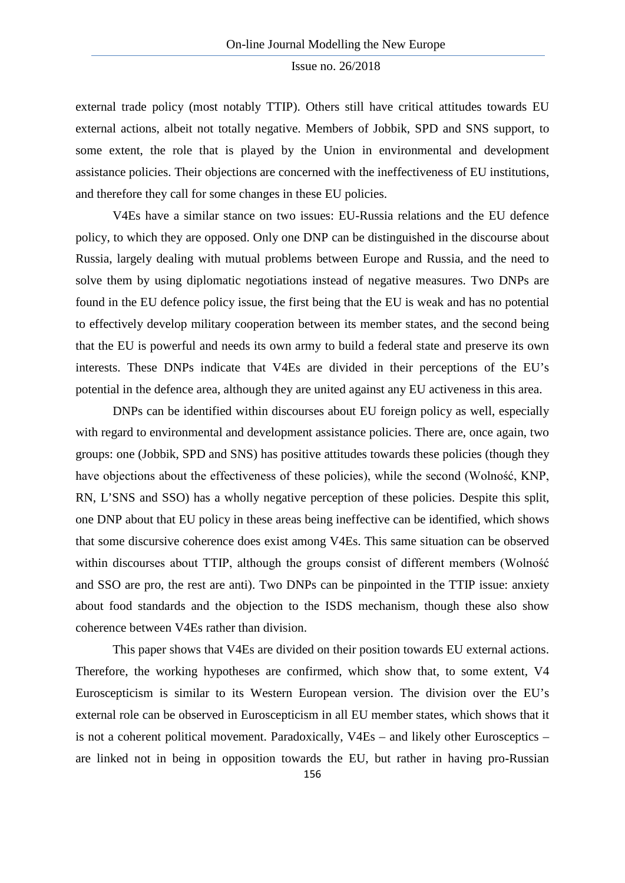external trade policy (most notably TTIP). Others still have critical attitudes towards EU external actions, albeit not totally negative. Members of Jobbik, SPD and SNS support, to some extent, the role that is played by the Union in environmental and development assistance policies. Their objections are concerned with the ineffectiveness of EU institutions, and therefore they call for some changes in these EU policies.

V4Es have a similar stance on two issues: EU-Russia relations and the EU defence policy, to which they are opposed. Only one DNP can be distinguished in the discourse about Russia, largely dealing with mutual problems between Europe and Russia, and the need to solve them by using diplomatic negotiations instead of negative measures. Two DNPs are found in the EU defence policy issue, the first being that the EU is weak and has no potential to effectively develop military cooperation between its member states, and the second being that the EU is powerful and needs its own army to build a federal state and preserve its own interests. These DNPs indicate that V4Es are divided in their perceptions of the EU's potential in the defence area, although they are united against any EU activeness in this area.

DNPs can be identified within discourses about EU foreign policy as well, especially with regard to environmental and development assistance policies. There are, once again, two groups: one (Jobbik, SPD and SNS) has positive attitudes towards these policies (though they have objections about the effectiveness of these policies), while the second (Wolność, KNP, RN, L'SNS and SSO) has a wholly negative perception of these policies. Despite this split, one DNP about that EU policy in these areas being ineffective can be identified, which shows that some discursive coherence does exist among V4Es. This same situation can be observed within discourses about TTIP, although the groups consist of different members (Wolność and SSO are pro, the rest are anti). Two DNPs can be pinpointed in the TTIP issue: anxiety about food standards and the objection to the ISDS mechanism, though these also show coherence between V4Es rather than division.

This paper shows that V4Es are divided on their position towards EU external actions. Therefore, the working hypotheses are confirmed, which show that, to some extent, V4 Euroscepticism is similar to its Western European version. The division over the EU's external role can be observed in Euroscepticism in all EU member states, which shows that it is not a coherent political movement. Paradoxically, V4Es – and likely other Eurosceptics – are linked not in being in opposition towards the EU, but rather in having pro-Russian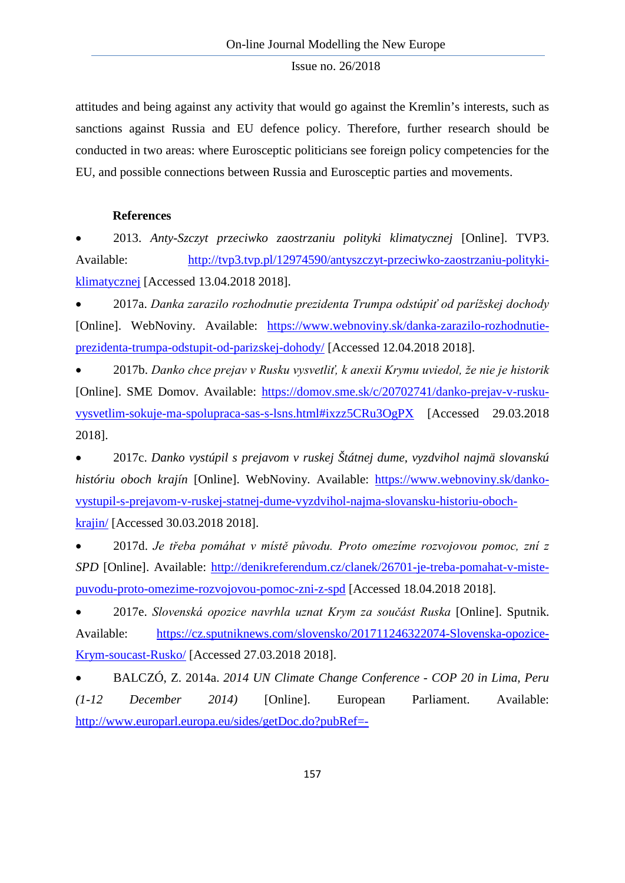attitudes and being against any activity that would go against the Kremlin's interests, such as sanctions against Russia and EU defence policy. Therefore, further research should be conducted in two areas: where Eurosceptic politicians see foreign policy competencies for the EU, and possible connections between Russia and Eurosceptic parties and movements.

# **References**

• 2013. *Anty-Szczyt przeciwko zaostrzaniu polityki klimatycznej* [Online]. TVP3. Available: [http://tvp3.tvp.pl/12974590/antyszczyt-przeciwko-zaostrzaniu-polityki](http://tvp3.tvp.pl/12974590/antyszczyt-przeciwko-zaostrzaniu-polityki-klimatycznej)[klimatycznej](http://tvp3.tvp.pl/12974590/antyszczyt-przeciwko-zaostrzaniu-polityki-klimatycznej) [Accessed 13.04.2018 2018].

• 2017a. *Danka zarazilo rozhodnutie prezidenta Trumpa odstúpiť od parížskej dochody*  [Online]. WebNoviny. Available: [https://www.webnoviny.sk/danka-zarazilo-rozhodnutie](https://www.webnoviny.sk/danka-zarazilo-rozhodnutie-prezidenta-trumpa-odstupit-od-parizskej-dohody/)[prezidenta-trumpa-odstupit-od-parizskej-dohody/](https://www.webnoviny.sk/danka-zarazilo-rozhodnutie-prezidenta-trumpa-odstupit-od-parizskej-dohody/) [Accessed 12.04.2018 2018].

• 2017b. *Danko chce prejav v Rusku vysvetliť, k anexii Krymu uviedol, že nie je historik*  [Online]. SME Domov. Available: [https://domov.sme.sk/c/20702741/danko-prejav-v-rusku](https://domov.sme.sk/c/20702741/danko-prejav-v-rusku-vysvetlim-sokuje-ma-spolupraca-sas-s-lsns.html#ixzz5CRu3OgPX)[vysvetlim-sokuje-ma-spolupraca-sas-s-lsns.html#ixzz5CRu3OgPX](https://domov.sme.sk/c/20702741/danko-prejav-v-rusku-vysvetlim-sokuje-ma-spolupraca-sas-s-lsns.html#ixzz5CRu3OgPX) [Accessed 29.03.2018 2018].

• 2017c. *Danko vystúpil s prejavom v ruskej Štátnej dume, vyzdvihol najmä slovanskú históriu oboch krajín* [Online]. WebNoviny. Available: [https://www.webnoviny.sk/danko](https://www.webnoviny.sk/danko-vystupil-s-prejavom-v-ruskej-statnej-dume-vyzdvihol-najma-slovansku-historiu-oboch-krajin/)[vystupil-s-prejavom-v-ruskej-statnej-dume-vyzdvihol-najma-slovansku-historiu-oboch](https://www.webnoviny.sk/danko-vystupil-s-prejavom-v-ruskej-statnej-dume-vyzdvihol-najma-slovansku-historiu-oboch-krajin/)[krajin/](https://www.webnoviny.sk/danko-vystupil-s-prejavom-v-ruskej-statnej-dume-vyzdvihol-najma-slovansku-historiu-oboch-krajin/) [Accessed 30.03.2018 2018].

• 2017d. *Je třeba pomáhat v místě původu. Proto omezíme rozvojovou pomoc, zní z SPD* [Online]. Available: [http://denikreferendum.cz/clanek/26701-je-treba-pomahat-v-miste](http://denikreferendum.cz/clanek/26701-je-treba-pomahat-v-miste-puvodu-proto-omezime-rozvojovou-pomoc-zni-z-spd)[puvodu-proto-omezime-rozvojovou-pomoc-zni-z-spd](http://denikreferendum.cz/clanek/26701-je-treba-pomahat-v-miste-puvodu-proto-omezime-rozvojovou-pomoc-zni-z-spd) [Accessed 18.04.2018 2018].

• 2017e. *Slovenská opozice navrhla uznat Krym za součást Ruska* [Online]. Sputnik. Available: [https://cz.sputniknews.com/slovensko/201711246322074-Slovenska-opozice-](https://cz.sputniknews.com/slovensko/201711246322074-Slovenska-opozice-Krym-soucast-Rusko/)[Krym-soucast-Rusko/](https://cz.sputniknews.com/slovensko/201711246322074-Slovenska-opozice-Krym-soucast-Rusko/) [Accessed 27.03.2018 2018].

• BALCZÓ, Z. 2014a. *2014 UN Climate Change Conference - COP 20 in Lima, Peru (1-12 December 2014)* [Online]. European Parliament. Available: [http://www.europarl.europa.eu/sides/getDoc.do?pubRef=-](http://www.europarl.europa.eu/sides/getDoc.do?pubRef=-//EP//TEXT+CRE+20141126+ITEM-007+DOC+XML+V0//EN)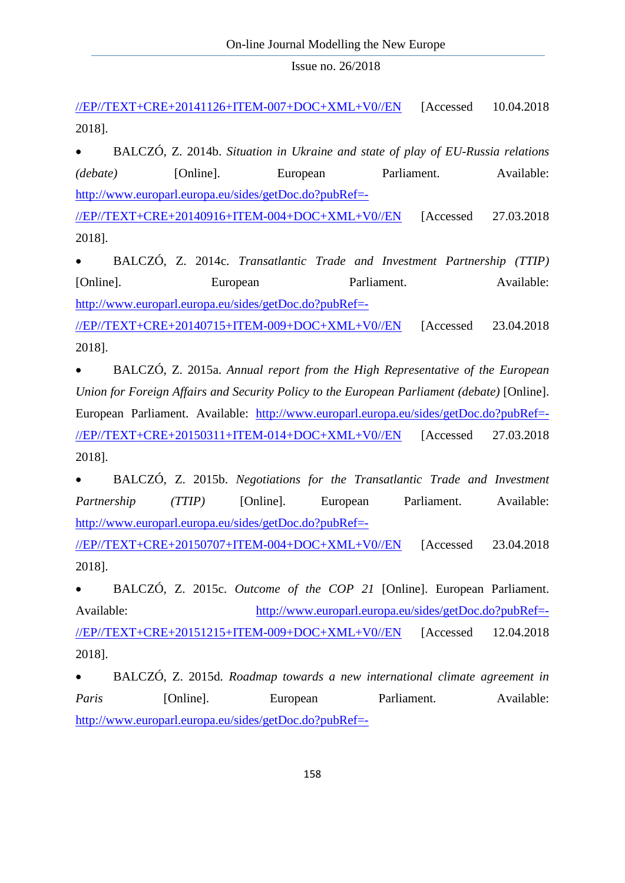[//EP//TEXT+CRE+20141126+ITEM-007+DOC+XML+V0//EN](http://www.europarl.europa.eu/sides/getDoc.do?pubRef=-//EP//TEXT+CRE+20141126+ITEM-007+DOC+XML+V0//EN) [Accessed 10.04.2018 2018].

• BALCZÓ, Z. 2014b. *Situation in Ukraine and state of play of EU-Russia relations (debate)* [Online]. European Parliament. Available: [http://www.europarl.europa.eu/sides/getDoc.do?pubRef=-](http://www.europarl.europa.eu/sides/getDoc.do?pubRef=-//EP//TEXT+CRE+20140916+ITEM-004+DOC+XML+V0//EN)

[//EP//TEXT+CRE+20140916+ITEM-004+DOC+XML+V0//EN](http://www.europarl.europa.eu/sides/getDoc.do?pubRef=-//EP//TEXT+CRE+20140916+ITEM-004+DOC+XML+V0//EN) [Accessed 27.03.2018 2018].

• BALCZÓ, Z. 2014c. *Transatlantic Trade and Investment Partnership (TTIP)*  [Online]. European Parliament. Available: [http://www.europarl.europa.eu/sides/getDoc.do?pubRef=-](http://www.europarl.europa.eu/sides/getDoc.do?pubRef=-//EP//TEXT+CRE+20140715+ITEM-009+DOC+XML+V0//EN)

[//EP//TEXT+CRE+20140715+ITEM-009+DOC+XML+V0//EN](http://www.europarl.europa.eu/sides/getDoc.do?pubRef=-//EP//TEXT+CRE+20140715+ITEM-009+DOC+XML+V0//EN) [Accessed 23.04.2018 2018].

• BALCZÓ, Z. 2015a. *Annual report from the High Representative of the European Union for Foreign Affairs and Security Policy to the European Parliament (debate)* [Online]. European Parliament. Available: [http://www.europarl.europa.eu/sides/getDoc.do?pubRef=-](http://www.europarl.europa.eu/sides/getDoc.do?pubRef=-//EP//TEXT+CRE+20150311+ITEM-014+DOC+XML+V0//EN) [//EP//TEXT+CRE+20150311+ITEM-014+DOC+XML+V0//EN](http://www.europarl.europa.eu/sides/getDoc.do?pubRef=-//EP//TEXT+CRE+20150311+ITEM-014+DOC+XML+V0//EN) [Accessed 27.03.2018 2018].

• BALCZÓ, Z. 2015b. *Negotiations for the Transatlantic Trade and Investment Partnership* (*TTIP*) [Online]. European Parliament. Available: [http://www.europarl.europa.eu/sides/getDoc.do?pubRef=-](http://www.europarl.europa.eu/sides/getDoc.do?pubRef=-//EP//TEXT+CRE+20150707+ITEM-004+DOC+XML+V0//EN) [//EP//TEXT+CRE+20150707+ITEM-004+DOC+XML+V0//EN](http://www.europarl.europa.eu/sides/getDoc.do?pubRef=-//EP//TEXT+CRE+20150707+ITEM-004+DOC+XML+V0//EN) [Accessed 23.04.2018 2018].

• BALCZÓ, Z. 2015c. *Outcome of the COP 21* [Online]. European Parliament. Available: [http://www.europarl.europa.eu/sides/getDoc.do?pubRef=-](http://www.europarl.europa.eu/sides/getDoc.do?pubRef=-//EP//TEXT+CRE+20151215+ITEM-009+DOC+XML+V0//EN) [//EP//TEXT+CRE+20151215+ITEM-009+DOC+XML+V0//EN](http://www.europarl.europa.eu/sides/getDoc.do?pubRef=-//EP//TEXT+CRE+20151215+ITEM-009+DOC+XML+V0//EN) [Accessed 12.04.2018 2018].

• BALCZÓ, Z. 2015d. *Roadmap towards a new international climate agreement in*  Paris **[Online]**. European Parliament. Available: [http://www.europarl.europa.eu/sides/getDoc.do?pubRef=-](http://www.europarl.europa.eu/sides/getDoc.do?pubRef=-//EP//TEXT+CRE+20150128+ITEM-014+DOC+XML+V0//EN)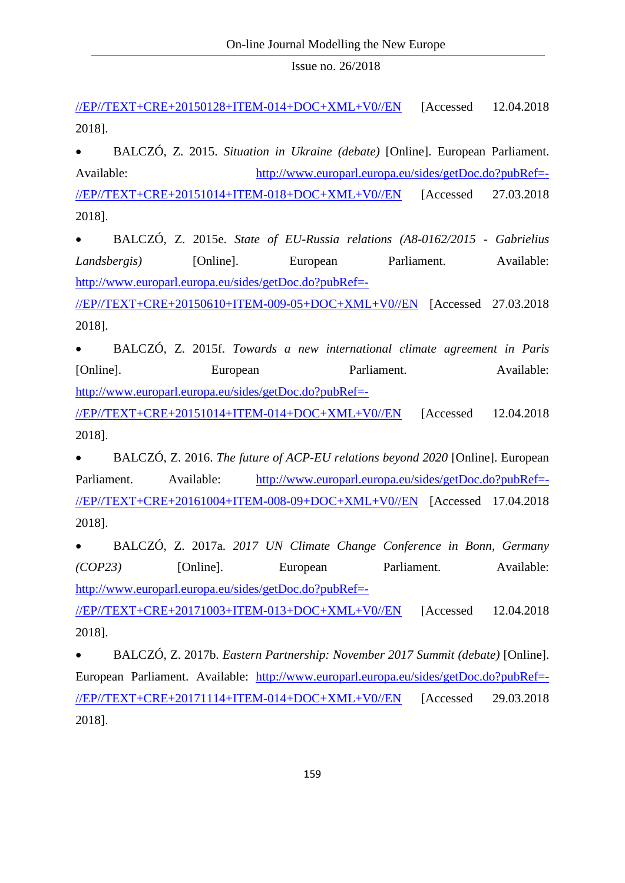[//EP//TEXT+CRE+20150128+ITEM-014+DOC+XML+V0//EN](http://www.europarl.europa.eu/sides/getDoc.do?pubRef=-//EP//TEXT+CRE+20150128+ITEM-014+DOC+XML+V0//EN) [Accessed 12.04.2018 2018].

• BALCZÓ, Z. 2015. *Situation in Ukraine (debate)* [Online]. European Parliament. Available: [http://www.europarl.europa.eu/sides/getDoc.do?pubRef=-](http://www.europarl.europa.eu/sides/getDoc.do?pubRef=-//EP//TEXT+CRE+20151014+ITEM-018+DOC+XML+V0//EN) [//EP//TEXT+CRE+20151014+ITEM-018+DOC+XML+V0//EN](http://www.europarl.europa.eu/sides/getDoc.do?pubRef=-//EP//TEXT+CRE+20151014+ITEM-018+DOC+XML+V0//EN) [Accessed 27.03.2018 2018].

• BALCZÓ, Z. 2015e. *State of EU-Russia relations (A8-0162/2015 - Gabrielius Landsbergis*) [Online]. European Parliament. Available: [http://www.europarl.europa.eu/sides/getDoc.do?pubRef=-](http://www.europarl.europa.eu/sides/getDoc.do?pubRef=-//EP//TEXT+CRE+20150610+ITEM-009-05+DOC+XML+V0//EN)

[//EP//TEXT+CRE+20150610+ITEM-009-05+DOC+XML+V0//EN](http://www.europarl.europa.eu/sides/getDoc.do?pubRef=-//EP//TEXT+CRE+20150610+ITEM-009-05+DOC+XML+V0//EN) [Accessed 27.03.2018 2018].

• BALCZÓ, Z. 2015f. *Towards a new international climate agreement in Paris*  [Online]. European Parliament. Available: [http://www.europarl.europa.eu/sides/getDoc.do?pubRef=-](http://www.europarl.europa.eu/sides/getDoc.do?pubRef=-//EP//TEXT+CRE+20151014+ITEM-014+DOC+XML+V0//EN) [//EP//TEXT+CRE+20151014+ITEM-014+DOC+XML+V0//EN](http://www.europarl.europa.eu/sides/getDoc.do?pubRef=-//EP//TEXT+CRE+20151014+ITEM-014+DOC+XML+V0//EN) [Accessed 12.04.2018

2018].

• BALCZÓ, Z. 2016. *The future of ACP-EU relations beyond 2020* [Online]. European Parliament. Available: [http://www.europarl.europa.eu/sides/getDoc.do?pubRef=-](http://www.europarl.europa.eu/sides/getDoc.do?pubRef=-//EP//TEXT+CRE+20161004+ITEM-008-09+DOC+XML+V0//EN) [//EP//TEXT+CRE+20161004+ITEM-008-09+DOC+XML+V0//EN](http://www.europarl.europa.eu/sides/getDoc.do?pubRef=-//EP//TEXT+CRE+20161004+ITEM-008-09+DOC+XML+V0//EN) [Accessed 17.04.2018 2018].

• BALCZÓ, Z. 2017a. *2017 UN Climate Change Conference in Bonn, Germany (COP23)* [Online]. European Parliament. Available: [http://www.europarl.europa.eu/sides/getDoc.do?pubRef=-](http://www.europarl.europa.eu/sides/getDoc.do?pubRef=-//EP//TEXT+CRE+20171003+ITEM-013+DOC+XML+V0//EN)

[//EP//TEXT+CRE+20171003+ITEM-013+DOC+XML+V0//EN](http://www.europarl.europa.eu/sides/getDoc.do?pubRef=-//EP//TEXT+CRE+20171003+ITEM-013+DOC+XML+V0//EN) [Accessed 12.04.2018 2018].

• BALCZÓ, Z. 2017b. *Eastern Partnership: November 2017 Summit (debate)* [Online]. European Parliament. Available: [http://www.europarl.europa.eu/sides/getDoc.do?pubRef=-](http://www.europarl.europa.eu/sides/getDoc.do?pubRef=-//EP//TEXT+CRE+20171114+ITEM-014+DOC+XML+V0//EN) [//EP//TEXT+CRE+20171114+ITEM-014+DOC+XML+V0//EN](http://www.europarl.europa.eu/sides/getDoc.do?pubRef=-//EP//TEXT+CRE+20171114+ITEM-014+DOC+XML+V0//EN) [Accessed 29.03.2018 2018].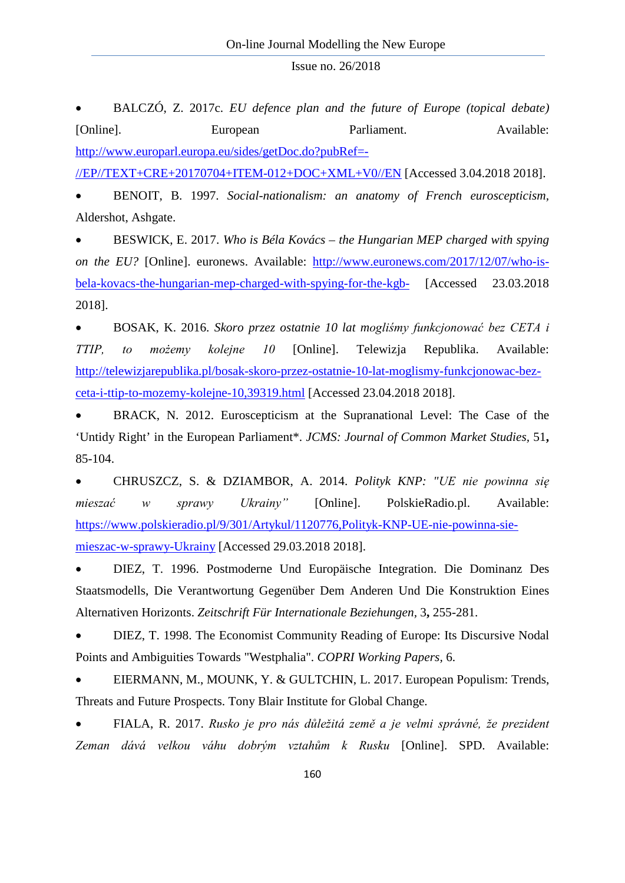• BALCZÓ, Z. 2017c. *EU defence plan and the future of Europe (topical debate)*  [Online]. European Parliament. Available: [http://www.europarl.europa.eu/sides/getDoc.do?pubRef=-](http://www.europarl.europa.eu/sides/getDoc.do?pubRef=-//EP//TEXT+CRE+20170704+ITEM-012+DOC+XML+V0//EN) [//EP//TEXT+CRE+20170704+ITEM-012+DOC+XML+V0//EN](http://www.europarl.europa.eu/sides/getDoc.do?pubRef=-//EP//TEXT+CRE+20170704+ITEM-012+DOC+XML+V0//EN) [Accessed 3.04.2018 2018].

• BENOIT, B. 1997. *Social-nationalism: an anatomy of French euroscepticism,*  Aldershot, Ashgate.

• BESWICK, E. 2017. *Who is Béla Kovács – the Hungarian MEP charged with spying on the EU?* [Online]. euronews. Available: [http://www.euronews.com/2017/12/07/who-is](http://www.euronews.com/2017/12/07/who-is-bela-kovacs-the-hungarian-mep-charged-with-spying-for-the-kgb-)[bela-kovacs-the-hungarian-mep-charged-with-spying-for-the-kgb-](http://www.euronews.com/2017/12/07/who-is-bela-kovacs-the-hungarian-mep-charged-with-spying-for-the-kgb-) [Accessed 23.03.2018 2018].

• BOSAK, K. 2016. *Skoro przez ostatnie 10 lat mogliśmy funkcjonować bez CETA i TTIP, to możemy kolejne 10* [Online]. Telewizja Republika. Available: [http://telewizjarepublika.pl/bosak-skoro-przez-ostatnie-10-lat-moglismy-funkcjonowac-bez](http://telewizjarepublika.pl/bosak-skoro-przez-ostatnie-10-lat-moglismy-funkcjonowac-bez-ceta-i-ttip-to-mozemy-kolejne-10,39319.html)[ceta-i-ttip-to-mozemy-kolejne-10,39319.html](http://telewizjarepublika.pl/bosak-skoro-przez-ostatnie-10-lat-moglismy-funkcjonowac-bez-ceta-i-ttip-to-mozemy-kolejne-10,39319.html) [Accessed 23.04.2018 2018].

• BRACK, N. 2012. Euroscepticism at the Supranational Level: The Case of the 'Untidy Right' in the European Parliament\*. *JCMS: Journal of Common Market Studies,* 51**,** 85-104.

• CHRUSZCZ, S. & DZIAMBOR, A. 2014. *Polityk KNP: "UE nie powinna się mieszać w sprawy Ukrainy"* [Online]. PolskieRadio.pl. Available: [https://www.polskieradio.pl/9/301/Artykul/1120776,Polityk-KNP-UE-nie-powinna-sie](https://www.polskieradio.pl/9/301/Artykul/1120776,Polityk-KNP-UE-nie-powinna-sie-mieszac-w-sprawy-Ukrainy)[mieszac-w-sprawy-Ukrainy](https://www.polskieradio.pl/9/301/Artykul/1120776,Polityk-KNP-UE-nie-powinna-sie-mieszac-w-sprawy-Ukrainy) [Accessed 29.03.2018 2018].

• DIEZ, T. 1996. Postmoderne Und Europäische Integration. Die Dominanz Des Staatsmodells, Die Verantwortung Gegenüber Dem Anderen Und Die Konstruktion Eines Alternativen Horizonts. *Zeitschrift Für Internationale Beziehungen,* 3**,** 255-281.

• DIEZ, T. 1998. The Economist Community Reading of Europe: Its Discursive Nodal Points and Ambiguities Towards "Westphalia". *COPRI Working Papers,* 6.

• EIERMANN, M., MOUNK, Y. & GULTCHIN, L. 2017. European Populism: Trends, Threats and Future Prospects. Tony Blair Institute for Global Change.

• FIALA, R. 2017. *Rusko je pro nás důležitá země a je velmi správné, že prezident Zeman dává velkou váhu dobrým vztahům k Rusku* [Online]. SPD. Available: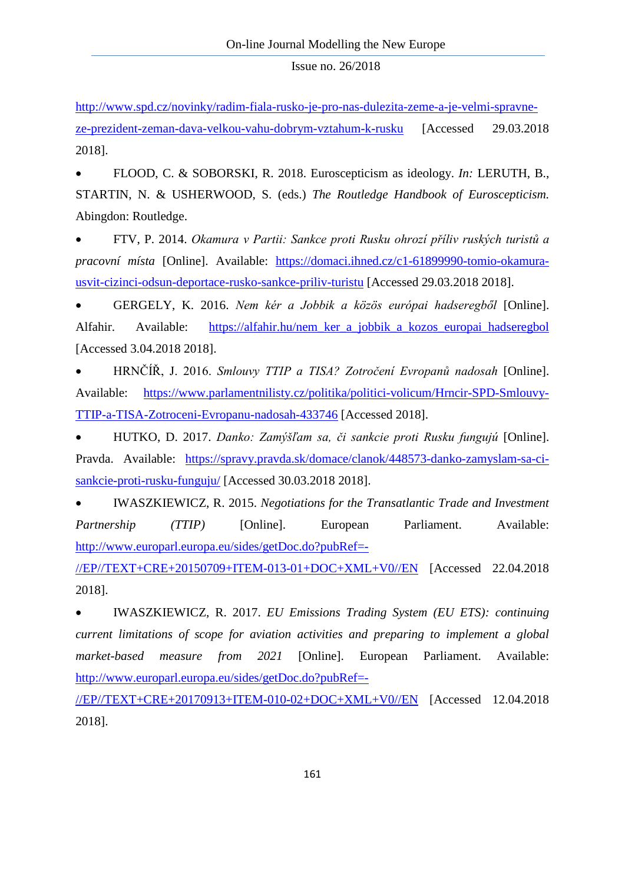[http://www.spd.cz/novinky/radim-fiala-rusko-je-pro-nas-dulezita-zeme-a-je-velmi-spravne](http://www.spd.cz/novinky/radim-fiala-rusko-je-pro-nas-dulezita-zeme-a-je-velmi-spravne-ze-prezident-zeman-dava-velkou-vahu-dobrym-vztahum-k-rusku)[ze-prezident-zeman-dava-velkou-vahu-dobrym-vztahum-k-rusku](http://www.spd.cz/novinky/radim-fiala-rusko-je-pro-nas-dulezita-zeme-a-je-velmi-spravne-ze-prezident-zeman-dava-velkou-vahu-dobrym-vztahum-k-rusku) [Accessed 29.03.2018 2018].

• FLOOD, C. & SOBORSKI, R. 2018. Euroscepticism as ideology. *In:* LERUTH, B., STARTIN, N. & USHERWOOD, S. (eds.) *The Routledge Handbook of Euroscepticism.* Abingdon: Routledge.

• FTV, P. 2014. *Okamura v Partii: Sankce proti Rusku ohrozí příliv ruských turistů a pracovní místa* [Online]. Available: [https://domaci.ihned.cz/c1-61899990-tomio-okamura](https://domaci.ihned.cz/c1-61899990-tomio-okamura-usvit-cizinci-odsun-deportace-rusko-sankce-priliv-turistu)[usvit-cizinci-odsun-deportace-rusko-sankce-priliv-turistu](https://domaci.ihned.cz/c1-61899990-tomio-okamura-usvit-cizinci-odsun-deportace-rusko-sankce-priliv-turistu) [Accessed 29.03.2018 2018].

• GERGELY, K. 2016. *Nem kér a Jobbik a közös európai hadseregből* [Online]. Alfahir. Available: [https://alfahir.hu/nem\\_ker\\_a\\_jobbik\\_a\\_kozos\\_europai\\_hadseregbol](https://alfahir.hu/nem_ker_a_jobbik_a_kozos_europai_hadseregbol) [Accessed 3.04.2018 2018].

• HRNČÍŘ, J. 2016. *Smlouvy TTIP a TISA? Zotročení Evropanů nadosah* [Online]. Available: [https://www.parlamentnilisty.cz/politika/politici-volicum/Hrncir-SPD-Smlouvy-](https://www.parlamentnilisty.cz/politika/politici-volicum/Hrncir-SPD-Smlouvy-TTIP-a-TISA-Zotroceni-Evropanu-nadosah-433746)[TTIP-a-TISA-Zotroceni-Evropanu-nadosah-433746](https://www.parlamentnilisty.cz/politika/politici-volicum/Hrncir-SPD-Smlouvy-TTIP-a-TISA-Zotroceni-Evropanu-nadosah-433746) [Accessed 2018].

• HUTKO, D. 2017. *Danko: Zamýšľam sa, či sankcie proti Rusku fungujú* [Online]. Pravda. Available: [https://spravy.pravda.sk/domace/clanok/448573-danko-zamyslam-sa-ci](https://spravy.pravda.sk/domace/clanok/448573-danko-zamyslam-sa-ci-sankcie-proti-rusku-funguju/)[sankcie-proti-rusku-funguju/](https://spravy.pravda.sk/domace/clanok/448573-danko-zamyslam-sa-ci-sankcie-proti-rusku-funguju/) [Accessed 30.03.2018 2018].

• IWASZKIEWICZ, R. 2015. *Negotiations for the Transatlantic Trade and Investment Partnership* (*TTIP*) [Online]. European Parliament. Available: [http://www.europarl.europa.eu/sides/getDoc.do?pubRef=-](http://www.europarl.europa.eu/sides/getDoc.do?pubRef=-//EP//TEXT+CRE+20150709+ITEM-013-01+DOC+XML+V0//EN)

[//EP//TEXT+CRE+20150709+ITEM-013-01+DOC+XML+V0//EN](http://www.europarl.europa.eu/sides/getDoc.do?pubRef=-//EP//TEXT+CRE+20150709+ITEM-013-01+DOC+XML+V0//EN) [Accessed 22.04.2018 2018].

• IWASZKIEWICZ, R. 2017. *EU Emissions Trading System (EU ETS): continuing current limitations of scope for aviation activities and preparing to implement a global market-based measure from 2021* [Online]. European Parliament. Available: [http://www.europarl.europa.eu/sides/getDoc.do?pubRef=-](http://www.europarl.europa.eu/sides/getDoc.do?pubRef=-//EP//TEXT+CRE+20170913+ITEM-010-02+DOC+XML+V0//EN)

[//EP//TEXT+CRE+20170913+ITEM-010-02+DOC+XML+V0//EN](http://www.europarl.europa.eu/sides/getDoc.do?pubRef=-//EP//TEXT+CRE+20170913+ITEM-010-02+DOC+XML+V0//EN) [Accessed 12.04.2018 2018].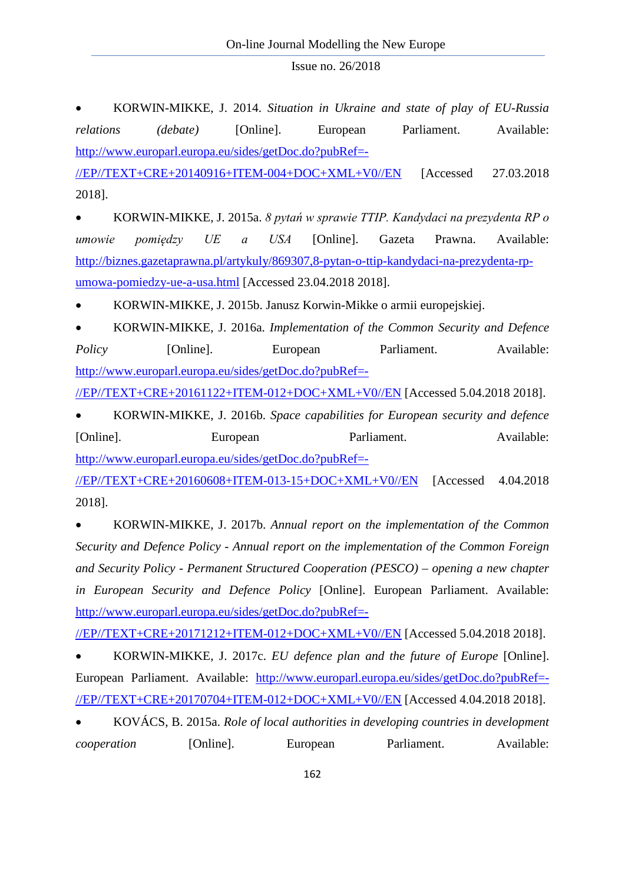• KORWIN-MIKKE, J. 2014. *Situation in Ukraine and state of play of EU-Russia relations (debate)* [Online]. European Parliament. Available: [http://www.europarl.europa.eu/sides/getDoc.do?pubRef=-](http://www.europarl.europa.eu/sides/getDoc.do?pubRef=-//EP//TEXT+CRE+20140916+ITEM-004+DOC+XML+V0//EN)

[//EP//TEXT+CRE+20140916+ITEM-004+DOC+XML+V0//EN](http://www.europarl.europa.eu/sides/getDoc.do?pubRef=-//EP//TEXT+CRE+20140916+ITEM-004+DOC+XML+V0//EN) [Accessed 27.03.2018 2018].

• KORWIN-MIKKE, J. 2015a. *8 pytań w sprawie TTIP. Kandydaci na prezydenta RP o umowie pomiędzy UE a USA* [Online]. Gazeta Prawna. Available: [http://biznes.gazetaprawna.pl/artykuly/869307,8-pytan-o-ttip-kandydaci-na-prezydenta-rp](http://biznes.gazetaprawna.pl/artykuly/869307,8-pytan-o-ttip-kandydaci-na-prezydenta-rp-umowa-pomiedzy-ue-a-usa.html)[umowa-pomiedzy-ue-a-usa.html](http://biznes.gazetaprawna.pl/artykuly/869307,8-pytan-o-ttip-kandydaci-na-prezydenta-rp-umowa-pomiedzy-ue-a-usa.html) [Accessed 23.04.2018 2018].

• KORWIN-MIKKE, J. 2015b. Janusz Korwin-Mikke o armii europejskiej.

• KORWIN-MIKKE, J. 2016a. *Implementation of the Common Security and Defence Policy* [Online]. European Parliament. Available: [http://www.europarl.europa.eu/sides/getDoc.do?pubRef=-](http://www.europarl.europa.eu/sides/getDoc.do?pubRef=-//EP//TEXT+CRE+20161122+ITEM-012+DOC+XML+V0//EN)

[//EP//TEXT+CRE+20161122+ITEM-012+DOC+XML+V0//EN](http://www.europarl.europa.eu/sides/getDoc.do?pubRef=-//EP//TEXT+CRE+20161122+ITEM-012+DOC+XML+V0//EN) [Accessed 5.04.2018 2018].

• KORWIN-MIKKE, J. 2016b. *Space capabilities for European security and defence*  [Online]. European Parliament. Available: [http://www.europarl.europa.eu/sides/getDoc.do?pubRef=-](http://www.europarl.europa.eu/sides/getDoc.do?pubRef=-//EP//TEXT+CRE+20160608+ITEM-013-15+DOC+XML+V0//EN)

[//EP//TEXT+CRE+20160608+ITEM-013-15+DOC+XML+V0//EN](http://www.europarl.europa.eu/sides/getDoc.do?pubRef=-//EP//TEXT+CRE+20160608+ITEM-013-15+DOC+XML+V0//EN) [Accessed 4.04.2018 2018].

• KORWIN-MIKKE, J. 2017b. *Annual report on the implementation of the Common Security and Defence Policy - Annual report on the implementation of the Common Foreign and Security Policy - Permanent Structured Cooperation (PESCO) – opening a new chapter in European Security and Defence Policy* [Online]. European Parliament. Available: [http://www.europarl.europa.eu/sides/getDoc.do?pubRef=-](http://www.europarl.europa.eu/sides/getDoc.do?pubRef=-//EP//TEXT+CRE+20171212+ITEM-012+DOC+XML+V0//EN)

[//EP//TEXT+CRE+20171212+ITEM-012+DOC+XML+V0//EN](http://www.europarl.europa.eu/sides/getDoc.do?pubRef=-//EP//TEXT+CRE+20171212+ITEM-012+DOC+XML+V0//EN) [Accessed 5.04.2018 2018].

• KORWIN-MIKKE, J. 2017c. *EU defence plan and the future of Europe* [Online]. European Parliament. Available: [http://www.europarl.europa.eu/sides/getDoc.do?pubRef=-](http://www.europarl.europa.eu/sides/getDoc.do?pubRef=-//EP//TEXT+CRE+20170704+ITEM-012+DOC+XML+V0//EN) [//EP//TEXT+CRE+20170704+ITEM-012+DOC+XML+V0//EN](http://www.europarl.europa.eu/sides/getDoc.do?pubRef=-//EP//TEXT+CRE+20170704+ITEM-012+DOC+XML+V0//EN) [Accessed 4.04.2018 2018].

• KOVÁCS, B. 2015a. *Role of local authorities in developing countries in development cooperation* [Online]. European Parliament. Available: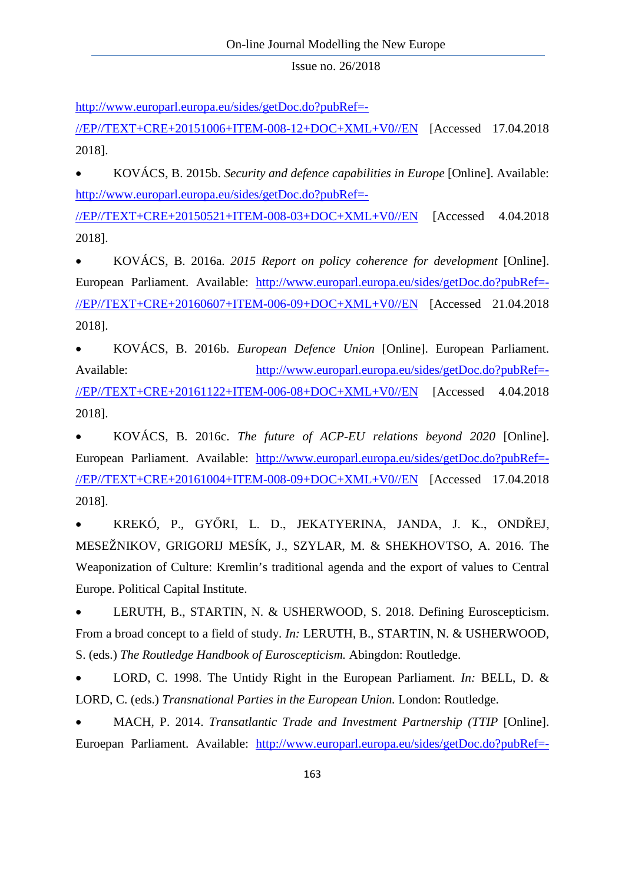[http://www.europarl.europa.eu/sides/getDoc.do?pubRef=-](http://www.europarl.europa.eu/sides/getDoc.do?pubRef=-//EP//TEXT+CRE+20151006+ITEM-008-12+DOC+XML+V0//EN)

[//EP//TEXT+CRE+20151006+ITEM-008-12+DOC+XML+V0//EN](http://www.europarl.europa.eu/sides/getDoc.do?pubRef=-//EP//TEXT+CRE+20151006+ITEM-008-12+DOC+XML+V0//EN) [Accessed 17.04.2018 2018].

• KOVÁCS, B. 2015b. *Security and defence capabilities in Europe* [Online]. Available: [http://www.europarl.europa.eu/sides/getDoc.do?pubRef=-](http://www.europarl.europa.eu/sides/getDoc.do?pubRef=-//EP//TEXT+CRE+20150521+ITEM-008-03+DOC+XML+V0//EN)

[//EP//TEXT+CRE+20150521+ITEM-008-03+DOC+XML+V0//EN](http://www.europarl.europa.eu/sides/getDoc.do?pubRef=-//EP//TEXT+CRE+20150521+ITEM-008-03+DOC+XML+V0//EN) [Accessed 4.04.2018 2018].

• KOVÁCS, B. 2016a. *2015 Report on policy coherence for development* [Online]. European Parliament. Available: [http://www.europarl.europa.eu/sides/getDoc.do?pubRef=-](http://www.europarl.europa.eu/sides/getDoc.do?pubRef=-//EP//TEXT+CRE+20160607+ITEM-006-09+DOC+XML+V0//EN) [//EP//TEXT+CRE+20160607+ITEM-006-09+DOC+XML+V0//EN](http://www.europarl.europa.eu/sides/getDoc.do?pubRef=-//EP//TEXT+CRE+20160607+ITEM-006-09+DOC+XML+V0//EN) [Accessed 21.04.2018 2018].

• KOVÁCS, B. 2016b. *European Defence Union* [Online]. European Parliament. Available: [http://www.europarl.europa.eu/sides/getDoc.do?pubRef=-](http://www.europarl.europa.eu/sides/getDoc.do?pubRef=-//EP//TEXT+CRE+20161122+ITEM-006-08+DOC+XML+V0//EN) [//EP//TEXT+CRE+20161122+ITEM-006-08+DOC+XML+V0//EN](http://www.europarl.europa.eu/sides/getDoc.do?pubRef=-//EP//TEXT+CRE+20161122+ITEM-006-08+DOC+XML+V0//EN) [Accessed 4.04.2018 2018].

• KOVÁCS, B. 2016c. *The future of ACP-EU relations beyond 2020* [Online]. European Parliament. Available: [http://www.europarl.europa.eu/sides/getDoc.do?pubRef=-](http://www.europarl.europa.eu/sides/getDoc.do?pubRef=-//EP//TEXT+CRE+20161004+ITEM-008-09+DOC+XML+V0//EN) [//EP//TEXT+CRE+20161004+ITEM-008-09+DOC+XML+V0//EN](http://www.europarl.europa.eu/sides/getDoc.do?pubRef=-//EP//TEXT+CRE+20161004+ITEM-008-09+DOC+XML+V0//EN) [Accessed 17.04.2018 2018].

• KREKÓ, P., GYŐRI, L. D., JEKATYERINA, JANDA, J. K., ONDŘEJ, MESEŽNIKOV, GRIGORIJ MESÍK, J., SZYLAR, M. & SHEKHOVTSO, A. 2016. The Weaponization of Culture: Kremlin's traditional agenda and the export of values to Central Europe. Political Capital Institute.

• LERUTH, B., STARTIN, N. & USHERWOOD, S. 2018. Defining Euroscepticism. From a broad concept to a field of study. *In:* LERUTH, B., STARTIN, N. & USHERWOOD, S. (eds.) *The Routledge Handbook of Euroscepticism.* Abingdon: Routledge.

• LORD, C. 1998. The Untidy Right in the European Parliament. *In:* BELL, D. & LORD, C. (eds.) *Transnational Parties in the European Union.* London: Routledge.

• MACH, P. 2014. *Transatlantic Trade and Investment Partnership (TTIP* [Online]. Euroepan Parliament. Available: [http://www.europarl.europa.eu/sides/getDoc.do?pubRef=-](http://www.europarl.europa.eu/sides/getDoc.do?pubRef=-//EP//TEXT+CRE+20140715+ITEM-009+DOC+XML+V0//EN)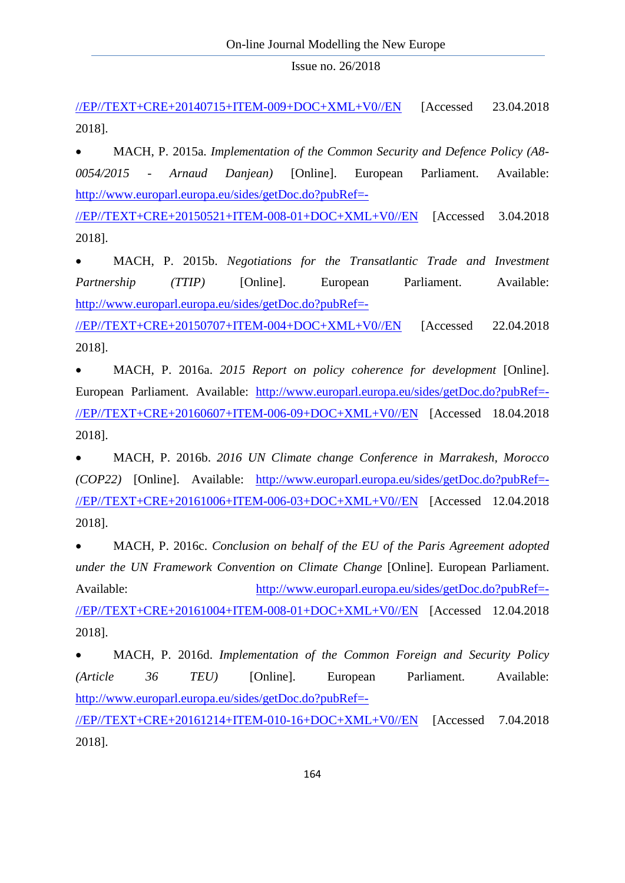[//EP//TEXT+CRE+20140715+ITEM-009+DOC+XML+V0//EN](http://www.europarl.europa.eu/sides/getDoc.do?pubRef=-//EP//TEXT+CRE+20140715+ITEM-009+DOC+XML+V0//EN) [Accessed 23.04.2018 2018].

• MACH, P. 2015a. *Implementation of the Common Security and Defence Policy (A8- 0054/2015 - Arnaud Danjean)* [Online]. European Parliament. Available: [http://www.europarl.europa.eu/sides/getDoc.do?pubRef=-](http://www.europarl.europa.eu/sides/getDoc.do?pubRef=-//EP//TEXT+CRE+20150521+ITEM-008-01+DOC+XML+V0//EN)

[//EP//TEXT+CRE+20150521+ITEM-008-01+DOC+XML+V0//EN](http://www.europarl.europa.eu/sides/getDoc.do?pubRef=-//EP//TEXT+CRE+20150521+ITEM-008-01+DOC+XML+V0//EN) [Accessed 3.04.2018 2018].

• MACH, P. 2015b. *Negotiations for the Transatlantic Trade and Investment Partnership* (*TTIP*) [Online]. European Parliament. Available: [http://www.europarl.europa.eu/sides/getDoc.do?pubRef=-](http://www.europarl.europa.eu/sides/getDoc.do?pubRef=-//EP//TEXT+CRE+20150707+ITEM-004+DOC+XML+V0//EN)

[//EP//TEXT+CRE+20150707+ITEM-004+DOC+XML+V0//EN](http://www.europarl.europa.eu/sides/getDoc.do?pubRef=-//EP//TEXT+CRE+20150707+ITEM-004+DOC+XML+V0//EN) [Accessed 22.04.2018 2018].

• MACH, P. 2016a. *2015 Report on policy coherence for development* [Online]. European Parliament. Available: [http://www.europarl.europa.eu/sides/getDoc.do?pubRef=-](http://www.europarl.europa.eu/sides/getDoc.do?pubRef=-//EP//TEXT+CRE+20160607+ITEM-006-09+DOC+XML+V0//EN) [//EP//TEXT+CRE+20160607+ITEM-006-09+DOC+XML+V0//EN](http://www.europarl.europa.eu/sides/getDoc.do?pubRef=-//EP//TEXT+CRE+20160607+ITEM-006-09+DOC+XML+V0//EN) [Accessed 18.04.2018 2018].

• MACH, P. 2016b. *2016 UN Climate change Conference in Marrakesh, Morocco (COP22)* [Online]. Available: [http://www.europarl.europa.eu/sides/getDoc.do?pubRef=-](http://www.europarl.europa.eu/sides/getDoc.do?pubRef=-//EP//TEXT+CRE+20161006+ITEM-006-03+DOC+XML+V0//EN) [//EP//TEXT+CRE+20161006+ITEM-006-03+DOC+XML+V0//EN](http://www.europarl.europa.eu/sides/getDoc.do?pubRef=-//EP//TEXT+CRE+20161006+ITEM-006-03+DOC+XML+V0//EN) [Accessed 12.04.2018 2018].

• MACH, P. 2016c. *Conclusion on behalf of the EU of the Paris Agreement adopted under the UN Framework Convention on Climate Change* [Online]. European Parliament. Available: [http://www.europarl.europa.eu/sides/getDoc.do?pubRef=-](http://www.europarl.europa.eu/sides/getDoc.do?pubRef=-//EP//TEXT+CRE+20161004+ITEM-008-01+DOC+XML+V0//EN)

[//EP//TEXT+CRE+20161004+ITEM-008-01+DOC+XML+V0//EN](http://www.europarl.europa.eu/sides/getDoc.do?pubRef=-//EP//TEXT+CRE+20161004+ITEM-008-01+DOC+XML+V0//EN) [Accessed 12.04.2018 2018].

• MACH, P. 2016d. *Implementation of the Common Foreign and Security Policy (Article 36 TEU)* [Online]. European Parliament. Available: [http://www.europarl.europa.eu/sides/getDoc.do?pubRef=-](http://www.europarl.europa.eu/sides/getDoc.do?pubRef=-//EP//TEXT+CRE+20161214+ITEM-010-16+DOC+XML+V0//EN) [//EP//TEXT+CRE+20161214+ITEM-010-16+DOC+XML+V0//EN](http://www.europarl.europa.eu/sides/getDoc.do?pubRef=-//EP//TEXT+CRE+20161214+ITEM-010-16+DOC+XML+V0//EN) [Accessed 7.04.2018 2018].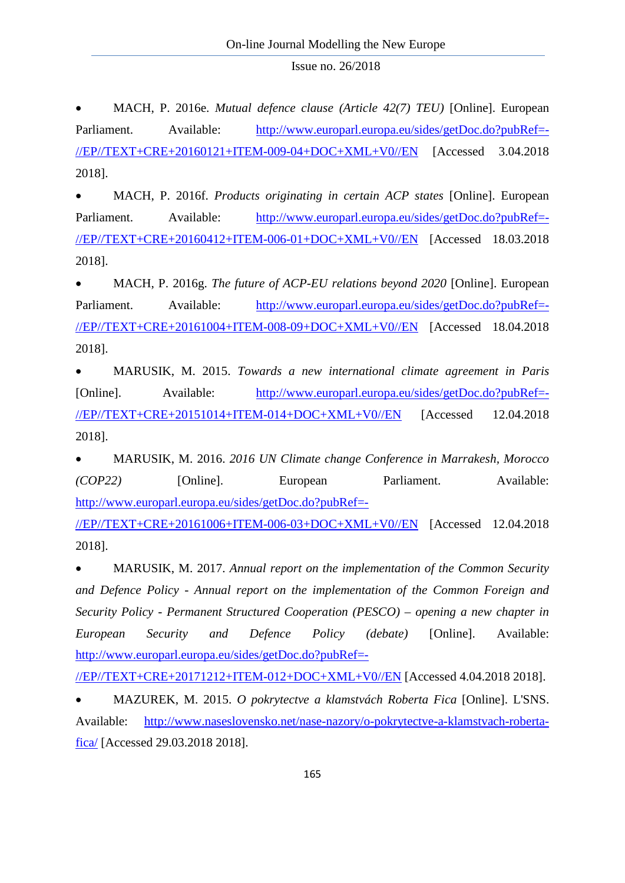• MACH, P. 2016e. *Mutual defence clause (Article 42(7) TEU)* [Online]. European Parliament. Available: [http://www.europarl.europa.eu/sides/getDoc.do?pubRef=-](http://www.europarl.europa.eu/sides/getDoc.do?pubRef=-//EP//TEXT+CRE+20160121+ITEM-009-04+DOC+XML+V0//EN) [//EP//TEXT+CRE+20160121+ITEM-009-04+DOC+XML+V0//EN](http://www.europarl.europa.eu/sides/getDoc.do?pubRef=-//EP//TEXT+CRE+20160121+ITEM-009-04+DOC+XML+V0//EN) [Accessed 3.04.2018 2018].

• MACH, P. 2016f. *Products originating in certain ACP states* [Online]. European Parliament. Available: [http://www.europarl.europa.eu/sides/getDoc.do?pubRef=-](http://www.europarl.europa.eu/sides/getDoc.do?pubRef=-//EP//TEXT+CRE+20160412+ITEM-006-01+DOC+XML+V0//EN) [//EP//TEXT+CRE+20160412+ITEM-006-01+DOC+XML+V0//EN](http://www.europarl.europa.eu/sides/getDoc.do?pubRef=-//EP//TEXT+CRE+20160412+ITEM-006-01+DOC+XML+V0//EN) [Accessed 18.03.2018 2018].

• MACH, P. 2016g. *The future of ACP-EU relations beyond 2020* [Online]. European Parliament. Available: [http://www.europarl.europa.eu/sides/getDoc.do?pubRef=-](http://www.europarl.europa.eu/sides/getDoc.do?pubRef=-//EP//TEXT+CRE+20161004+ITEM-008-09+DOC+XML+V0//EN) [//EP//TEXT+CRE+20161004+ITEM-008-09+DOC+XML+V0//EN](http://www.europarl.europa.eu/sides/getDoc.do?pubRef=-//EP//TEXT+CRE+20161004+ITEM-008-09+DOC+XML+V0//EN) [Accessed 18.04.2018 2018].

• MARUSIK, M. 2015. *Towards a new international climate agreement in Paris*  [Online]. Available: [http://www.europarl.europa.eu/sides/getDoc.do?pubRef=-](http://www.europarl.europa.eu/sides/getDoc.do?pubRef=-//EP//TEXT+CRE+20151014+ITEM-014+DOC+XML+V0//EN) [//EP//TEXT+CRE+20151014+ITEM-014+DOC+XML+V0//EN](http://www.europarl.europa.eu/sides/getDoc.do?pubRef=-//EP//TEXT+CRE+20151014+ITEM-014+DOC+XML+V0//EN) [Accessed 12.04.2018 2018].

• MARUSIK, M. 2016. *2016 UN Climate change Conference in Marrakesh, Morocco (COP22)* [Online]. European Parliament. Available: [http://www.europarl.europa.eu/sides/getDoc.do?pubRef=-](http://www.europarl.europa.eu/sides/getDoc.do?pubRef=-//EP//TEXT+CRE+20161006+ITEM-006-03+DOC+XML+V0//EN)

[//EP//TEXT+CRE+20161006+ITEM-006-03+DOC+XML+V0//EN](http://www.europarl.europa.eu/sides/getDoc.do?pubRef=-//EP//TEXT+CRE+20161006+ITEM-006-03+DOC+XML+V0//EN) [Accessed 12.04.2018 2018].

• MARUSIK, M. 2017. *Annual report on the implementation of the Common Security and Defence Policy - Annual report on the implementation of the Common Foreign and Security Policy - Permanent Structured Cooperation (PESCO) – opening a new chapter in European Security and Defence Policy (debate)* [Online]. Available: [http://www.europarl.europa.eu/sides/getDoc.do?pubRef=-](http://www.europarl.europa.eu/sides/getDoc.do?pubRef=-//EP//TEXT+CRE+20171212+ITEM-012+DOC+XML+V0//EN)

[//EP//TEXT+CRE+20171212+ITEM-012+DOC+XML+V0//EN](http://www.europarl.europa.eu/sides/getDoc.do?pubRef=-//EP//TEXT+CRE+20171212+ITEM-012+DOC+XML+V0//EN) [Accessed 4.04.2018 2018].

• MAZUREK, M. 2015. *O pokrytectve a klamstvách Roberta Fica* [Online]. L'SNS. Available: [http://www.naseslovensko.net/nase-nazory/o-pokrytectve-a-klamstvach-roberta](http://www.naseslovensko.net/nase-nazory/o-pokrytectve-a-klamstvach-roberta-fica/)[fica/](http://www.naseslovensko.net/nase-nazory/o-pokrytectve-a-klamstvach-roberta-fica/) [Accessed 29.03.2018 2018].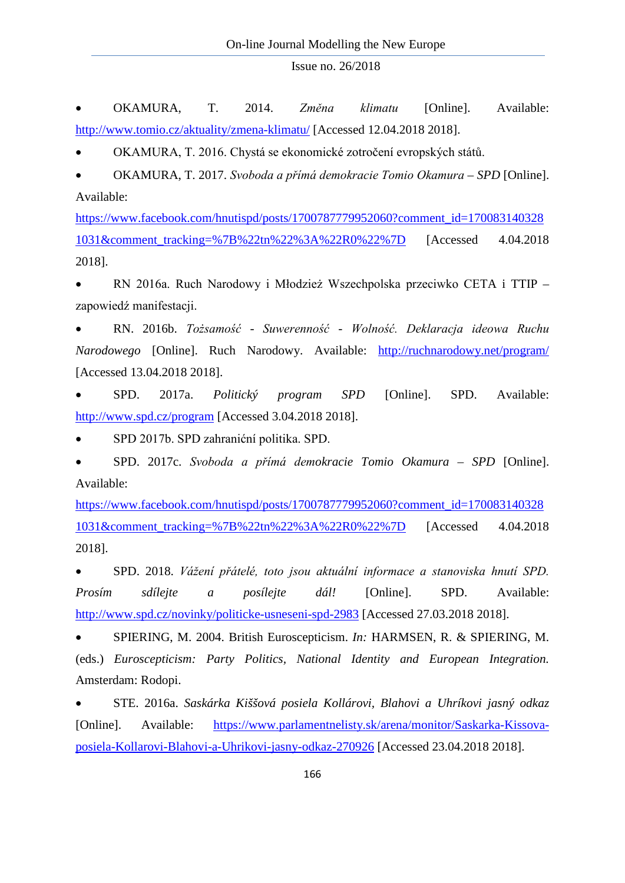• OKAMURA, T. 2014. *Změna klimatu* [Online]. Available: <http://www.tomio.cz/aktuality/zmena-klimatu/> [Accessed 12.04.2018 2018].

• OKAMURA, T. 2016. Chystá se ekonomické zotročení evropských států.

• OKAMURA, T. 2017. *Svoboda a přímá demokracie Tomio Okamura – SPD* [Online]. Available:

[https://www.facebook.com/hnutispd/posts/1700787779952060?comment\\_id=170083140328](https://www.facebook.com/hnutispd/posts/1700787779952060?comment_id=1700831403281031&comment_tracking=%7B%22tn%22%3A%22R0%22%7D) [1031&comment\\_tracking=%7B%22tn%22%3A%22R0%22%7D](https://www.facebook.com/hnutispd/posts/1700787779952060?comment_id=1700831403281031&comment_tracking=%7B%22tn%22%3A%22R0%22%7D) [Accessed 4.04.2018 2018].

• RN 2016a. Ruch Narodowy i Młodzież Wszechpolska przeciwko CETA i TTIP – zapowiedź manifestacji.

• RN. 2016b. *Tożsamość - Suwerenność - Wolność. Deklaracja ideowa Ruchu Narodowego* [Online]. Ruch Narodowy. Available: <http://ruchnarodowy.net/program/> [Accessed 13.04.2018 2018].

• SPD. 2017a. *Politický program SPD* [Online]. SPD. Available: <http://www.spd.cz/program> [Accessed 3.04.2018 2018].

• SPD 2017b. SPD zahranićní politika. SPD.

• SPD. 2017c. *Svoboda a přímá demokracie Tomio Okamura – SPD* [Online]. Available:

[https://www.facebook.com/hnutispd/posts/1700787779952060?comment\\_id=170083140328](https://www.facebook.com/hnutispd/posts/1700787779952060?comment_id=1700831403281031&comment_tracking=%7B%22tn%22%3A%22R0%22%7D) [1031&comment\\_tracking=%7B%22tn%22%3A%22R0%22%7D](https://www.facebook.com/hnutispd/posts/1700787779952060?comment_id=1700831403281031&comment_tracking=%7B%22tn%22%3A%22R0%22%7D) [Accessed 4.04.2018 2018].

• SPD. 2018. *Vážení přátelé, toto jsou aktuální informace a stanoviska hnutí SPD. Prosím sdílejte a posílejte dál!* [Online]. SPD. Available: <http://www.spd.cz/novinky/politicke-usneseni-spd-2983> [Accessed 27.03.2018 2018].

• SPIERING, M. 2004. British Euroscepticism. *In:* HARMSEN, R. & SPIERING, M. (eds.) *Euroscepticism: Party Politics, National Identity and European Integration.* Amsterdam: Rodopi.

• STE. 2016a. *Saskárka Kiššová posiela Kollárovi, Blahovi a Uhríkovi jasný odkaz*  [Online]. Available: [https://www.parlamentnelisty.sk/arena/monitor/Saskarka-Kissova](https://www.parlamentnelisty.sk/arena/monitor/Saskarka-Kissova-posiela-Kollarovi-Blahovi-a-Uhrikovi-jasny-odkaz-270926)[posiela-Kollarovi-Blahovi-a-Uhrikovi-jasny-odkaz-270926](https://www.parlamentnelisty.sk/arena/monitor/Saskarka-Kissova-posiela-Kollarovi-Blahovi-a-Uhrikovi-jasny-odkaz-270926) [Accessed 23.04.2018 2018].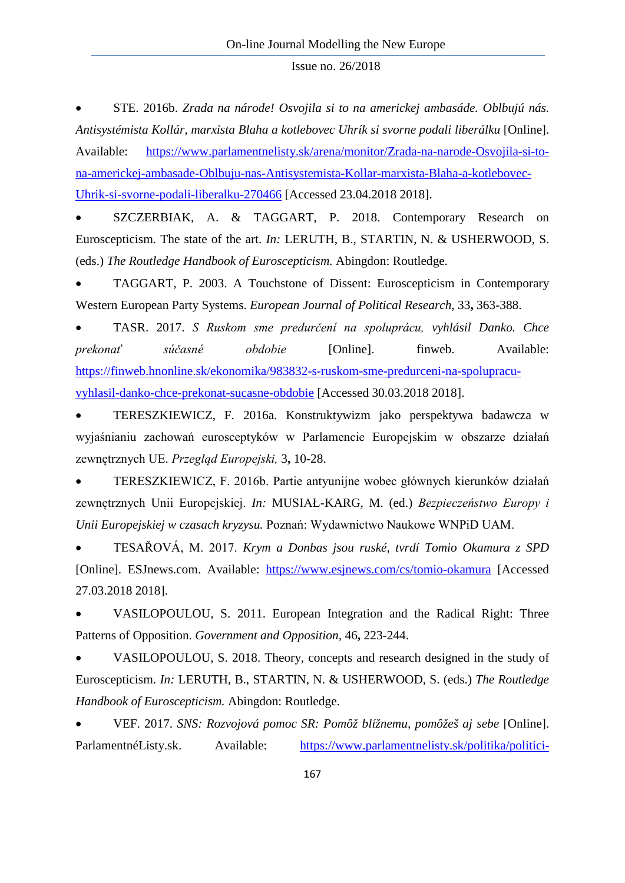• STE. 2016b. *Zrada na národe! Osvojila si to na americkej ambasáde. Oblbujú nás. Antisystémista Kollár, marxista Blaha a kotlebovec Uhrík si svorne podali liberálku* [Online]. Available: [https://www.parlamentnelisty.sk/arena/monitor/Zrada-na-narode-Osvojila-si-to](https://www.parlamentnelisty.sk/arena/monitor/Zrada-na-narode-Osvojila-si-to-na-americkej-ambasade-Oblbuju-nas-Antisystemista-Kollar-marxista-Blaha-a-kotlebovec-Uhrik-si-svorne-podali-liberalku-270466)[na-americkej-ambasade-Oblbuju-nas-Antisystemista-Kollar-marxista-Blaha-a-kotlebovec-](https://www.parlamentnelisty.sk/arena/monitor/Zrada-na-narode-Osvojila-si-to-na-americkej-ambasade-Oblbuju-nas-Antisystemista-Kollar-marxista-Blaha-a-kotlebovec-Uhrik-si-svorne-podali-liberalku-270466)[Uhrik-si-svorne-podali-liberalku-270466](https://www.parlamentnelisty.sk/arena/monitor/Zrada-na-narode-Osvojila-si-to-na-americkej-ambasade-Oblbuju-nas-Antisystemista-Kollar-marxista-Blaha-a-kotlebovec-Uhrik-si-svorne-podali-liberalku-270466) [Accessed 23.04.2018 2018].

• SZCZERBIAK, A. & TAGGART, P. 2018. Contemporary Research on Euroscepticism. The state of the art. *In:* LERUTH, B., STARTIN, N. & USHERWOOD, S. (eds.) *The Routledge Handbook of Euroscepticism.* Abingdon: Routledge.

• TAGGART, P. 2003. A Touchstone of Dissent: Euroscepticism in Contemporary Western European Party Systems. *European Journal of Political Research,* 33**,** 363-388.

• TASR. 2017. *S Ruskom sme predurčení na spoluprácu, vyhlásil Danko. Chce prekonať súčasné obdobie* [Online]. finweb. Available: [https://finweb.hnonline.sk/ekonomika/983832-s-ruskom-sme-predurceni-na-spolupracu](https://finweb.hnonline.sk/ekonomika/983832-s-ruskom-sme-predurceni-na-spolupracu-vyhlasil-danko-chce-prekonat-sucasne-obdobie)[vyhlasil-danko-chce-prekonat-sucasne-obdobie](https://finweb.hnonline.sk/ekonomika/983832-s-ruskom-sme-predurceni-na-spolupracu-vyhlasil-danko-chce-prekonat-sucasne-obdobie) [Accessed 30.03.2018 2018].

• TERESZKIEWICZ, F. 2016a. Konstruktywizm jako perspektywa badawcza w wyjaśnianiu zachowań eurosceptyków w Parlamencie Europejskim w obszarze działań zewnętrznych UE. *Przegląd Europejski,* 3**,** 10-28.

• TERESZKIEWICZ, F. 2016b. Partie antyunijne wobec głównych kierunków działań zewnętrznych Unii Europejskiej. *In:* MUSIAŁ-KARG, M. (ed.) *Bezpieczeństwo Europy i Unii Europejskiej w czasach kryzysu.* Poznań: Wydawnictwo Naukowe WNPiD UAM.

• TESAŘOVÁ, M. 2017. *Krym a Donbas jsou ruské, tvrdí Tomio Okamura z SPD*  [Online]. ESJnews.com. Available: <https://www.esjnews.com/cs/tomio-okamura> [Accessed 27.03.2018 2018].

• VASILOPOULOU, S. 2011. European Integration and the Radical Right: Three Patterns of Opposition. *Government and Opposition,* 46**,** 223-244.

• VASILOPOULOU, S. 2018. Theory, concepts and research designed in the study of Euroscepticism. *In:* LERUTH, B., STARTIN, N. & USHERWOOD, S. (eds.) *The Routledge Handbook of Euroscepticism.* Abingdon: Routledge.

• VEF. 2017. *SNS: Rozvojová pomoc SR: Pomôž blížnemu, pomôžeš aj sebe* [Online]. ParlamentnéListy.sk. Available: [https://www.parlamentnelisty.sk/politika/politici-](https://www.parlamentnelisty.sk/politika/politici-volicom/SNS-Rozvojova-pomoc-SR-Pomoz-bliznemu-pomozes-aj-sebe-293393)